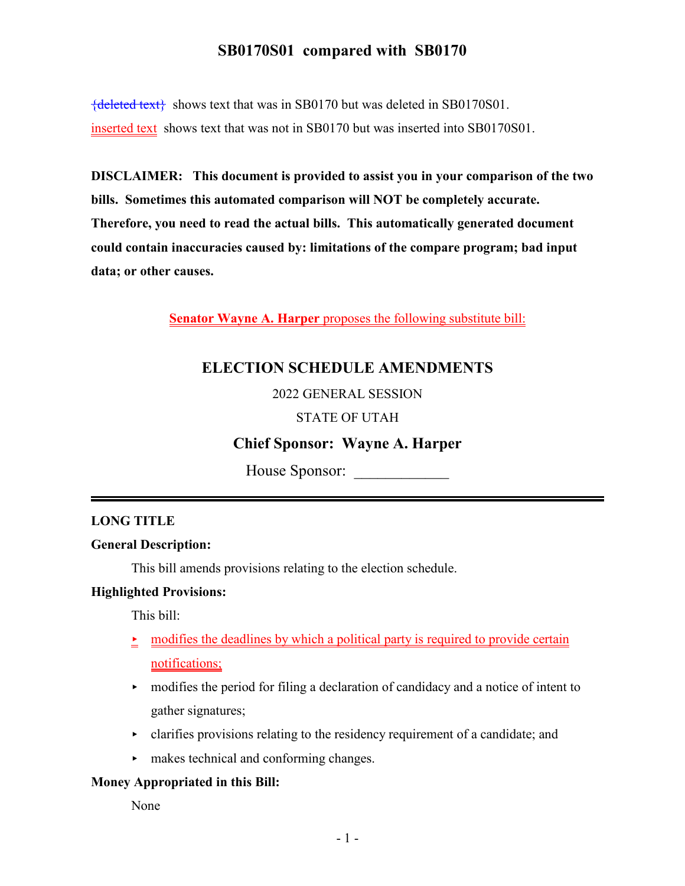${deleted text}$  shows text that was in SB0170 but was deleted in SB0170S01. inserted text shows text that was not in SB0170 but was inserted into SB0170S01.

**DISCLAIMER: This document is provided to assist you in your comparison of the two bills. Sometimes this automated comparison will NOT be completely accurate. Therefore, you need to read the actual bills. This automatically generated document could contain inaccuracies caused by: limitations of the compare program; bad input data; or other causes.**

**Senator Wayne A. Harper** proposes the following substitute bill:

# **ELECTION SCHEDULE AMENDMENTS**

## 2022 GENERAL SESSION

## STATE OF UTAH

## **Chief Sponsor: Wayne A. Harper**

House Sponsor: \_\_\_\_\_\_\_\_\_\_\_\_

## **LONG TITLE**

#### **General Description:**

This bill amends provisions relating to the election schedule.

#### **Highlighted Provisions:**

This bill:

- modifies the deadlines by which a political party is required to provide certain notifications;
- $\rightarrow$  modifies the period for filing a declaration of candidacy and a notice of intent to gather signatures;
- $\triangleright$  clarifies provisions relating to the residency requirement of a candidate; and
- $\blacktriangleright$  makes technical and conforming changes.

#### **Money Appropriated in this Bill:**

None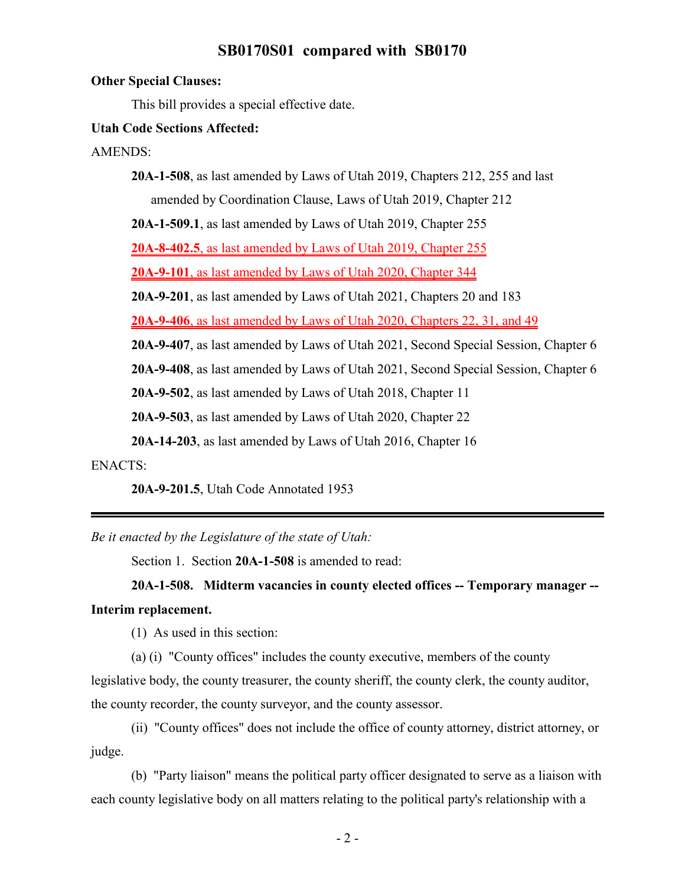#### **Other Special Clauses:**

This bill provides a special effective date.

#### **Utah Code Sections Affected:**

AMENDS:

**20A-1-508**, as last amended by Laws of Utah 2019, Chapters 212, 255 and last amended by Coordination Clause, Laws of Utah 2019, Chapter 212 **20A-1-509.1**, as last amended by Laws of Utah 2019, Chapter 255 **20A-8-402.5**, as last amended by Laws of Utah 2019, Chapter 255 **20A-9-101**, as last amended by Laws of Utah 2020, Chapter 344 **20A-9-201**, as last amended by Laws of Utah 2021, Chapters 20 and 183 **20A-9-406**, as last amended by Laws of Utah 2020, Chapters 22, 31, and 49 **20A-9-407**, as last amended by Laws of Utah 2021, Second Special Session, Chapter 6 **20A-9-408**, as last amended by Laws of Utah 2021, Second Special Session, Chapter 6 **20A-9-502**, as last amended by Laws of Utah 2018, Chapter 11 **20A-9-503**, as last amended by Laws of Utah 2020, Chapter 22

**20A-14-203**, as last amended by Laws of Utah 2016, Chapter 16

ENACTS:

**20A-9-201.5**, Utah Code Annotated 1953

*Be it enacted by the Legislature of the state of Utah:*

Section 1. Section **20A-1-508** is amended to read:

**20A-1-508. Midterm vacancies in county elected offices -- Temporary manager -- Interim replacement.**

(1) As used in this section:

(a) (i) "County offices" includes the county executive, members of the county

legislative body, the county treasurer, the county sheriff, the county clerk, the county auditor, the county recorder, the county surveyor, and the county assessor.

(ii) "County offices" does not include the office of county attorney, district attorney, or judge.

(b) "Party liaison" means the political party officer designated to serve as a liaison with each county legislative body on all matters relating to the political party's relationship with a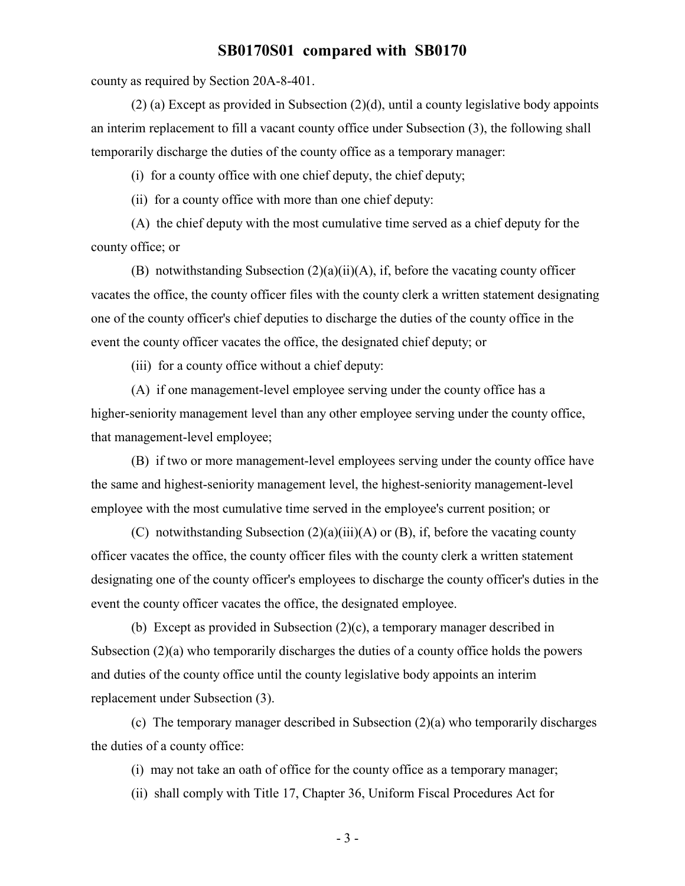county as required by Section 20A-8-401.

(2) (a) Except as provided in Subsection (2)(d), until a county legislative body appoints an interim replacement to fill a vacant county office under Subsection (3), the following shall temporarily discharge the duties of the county office as a temporary manager:

(i) for a county office with one chief deputy, the chief deputy;

(ii) for a county office with more than one chief deputy:

(A) the chief deputy with the most cumulative time served as a chief deputy for the county office; or

(B) notwithstanding Subsection (2)(a)(ii)(A), if, before the vacating county officer vacates the office, the county officer files with the county clerk a written statement designating one of the county officer's chief deputies to discharge the duties of the county office in the event the county officer vacates the office, the designated chief deputy; or

(iii) for a county office without a chief deputy:

(A) if one management-level employee serving under the county office has a higher-seniority management level than any other employee serving under the county office, that management-level employee;

(B) if two or more management-level employees serving under the county office have the same and highest-seniority management level, the highest-seniority management-level employee with the most cumulative time served in the employee's current position; or

(C) notwithstanding Subsection  $(2)(a)(iii)(A)$  or  $(B)$ , if, before the vacating county officer vacates the office, the county officer files with the county clerk a written statement designating one of the county officer's employees to discharge the county officer's duties in the event the county officer vacates the office, the designated employee.

(b) Except as provided in Subsection (2)(c), a temporary manager described in Subsection  $(2)(a)$  who temporarily discharges the duties of a county office holds the powers and duties of the county office until the county legislative body appoints an interim replacement under Subsection (3).

(c) The temporary manager described in Subsection (2)(a) who temporarily discharges the duties of a county office:

(i) may not take an oath of office for the county office as a temporary manager;

(ii) shall comply with Title 17, Chapter 36, Uniform Fiscal Procedures Act for

- 3 -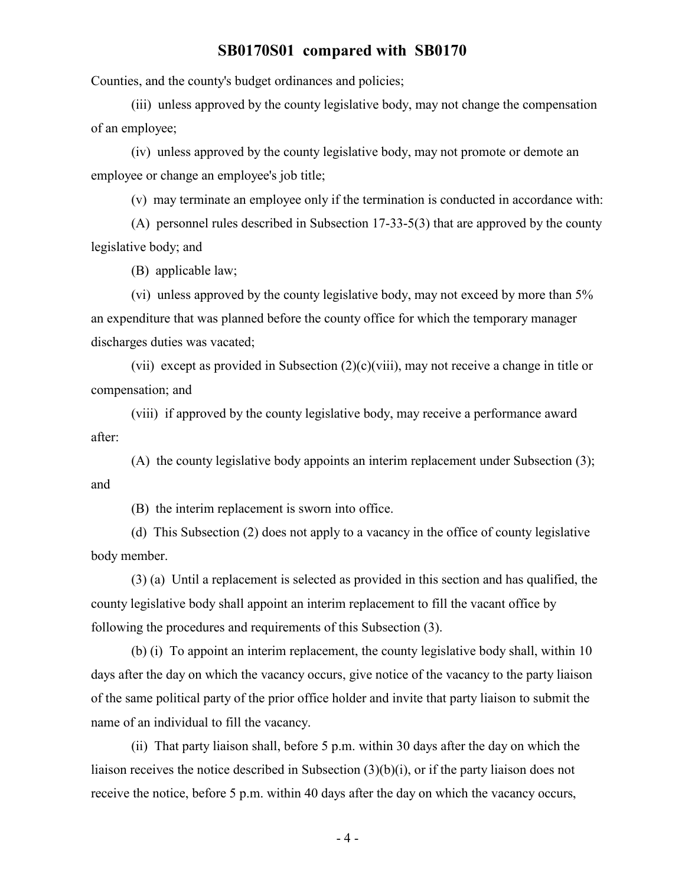Counties, and the county's budget ordinances and policies;

(iii) unless approved by the county legislative body, may not change the compensation of an employee;

(iv) unless approved by the county legislative body, may not promote or demote an employee or change an employee's job title;

(v) may terminate an employee only if the termination is conducted in accordance with:

(A) personnel rules described in Subsection 17-33-5(3) that are approved by the county legislative body; and

(B) applicable law;

(vi) unless approved by the county legislative body, may not exceed by more than 5% an expenditure that was planned before the county office for which the temporary manager discharges duties was vacated;

(vii) except as provided in Subsection (2)(c)(viii), may not receive a change in title or compensation; and

(viii) if approved by the county legislative body, may receive a performance award after:

(A) the county legislative body appoints an interim replacement under Subsection (3); and

(B) the interim replacement is sworn into office.

(d) This Subsection (2) does not apply to a vacancy in the office of county legislative body member.

(3) (a) Until a replacement is selected as provided in this section and has qualified, the county legislative body shall appoint an interim replacement to fill the vacant office by following the procedures and requirements of this Subsection (3).

(b) (i) To appoint an interim replacement, the county legislative body shall, within 10 days after the day on which the vacancy occurs, give notice of the vacancy to the party liaison of the same political party of the prior office holder and invite that party liaison to submit the name of an individual to fill the vacancy.

(ii) That party liaison shall, before 5 p.m. within 30 days after the day on which the liaison receives the notice described in Subsection (3)(b)(i), or if the party liaison does not receive the notice, before 5 p.m. within 40 days after the day on which the vacancy occurs,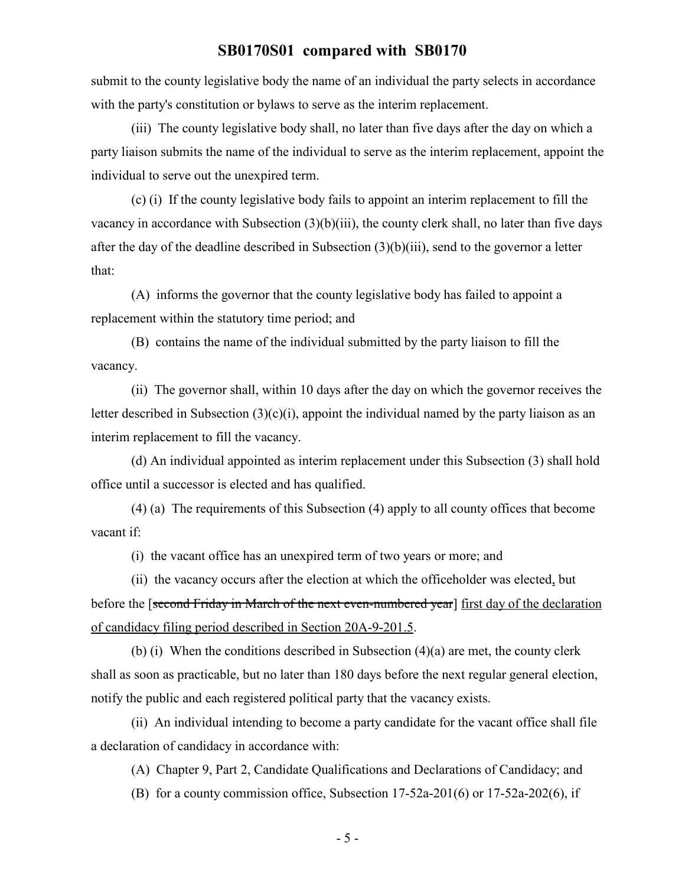submit to the county legislative body the name of an individual the party selects in accordance with the party's constitution or bylaws to serve as the interim replacement.

(iii) The county legislative body shall, no later than five days after the day on which a party liaison submits the name of the individual to serve as the interim replacement, appoint the individual to serve out the unexpired term.

(c) (i) If the county legislative body fails to appoint an interim replacement to fill the vacancy in accordance with Subsection (3)(b)(iii), the county clerk shall, no later than five days after the day of the deadline described in Subsection (3)(b)(iii), send to the governor a letter that:

(A) informs the governor that the county legislative body has failed to appoint a replacement within the statutory time period; and

(B) contains the name of the individual submitted by the party liaison to fill the vacancy.

(ii) The governor shall, within 10 days after the day on which the governor receives the letter described in Subsection  $(3)(c)(i)$ , appoint the individual named by the party liaison as an interim replacement to fill the vacancy.

(d) An individual appointed as interim replacement under this Subsection (3) shall hold office until a successor is elected and has qualified.

(4) (a) The requirements of this Subsection (4) apply to all county offices that become vacant if:

(i) the vacant office has an unexpired term of two years or more; and

(ii) the vacancy occurs after the election at which the officeholder was elected, but before the [second Friday in March of the next even-numbered year] first day of the declaration of candidacy filing period described in Section 20A-9-201.5.

(b) (i) When the conditions described in Subsection (4)(a) are met, the county clerk shall as soon as practicable, but no later than 180 days before the next regular general election, notify the public and each registered political party that the vacancy exists.

(ii) An individual intending to become a party candidate for the vacant office shall file a declaration of candidacy in accordance with:

(A) Chapter 9, Part 2, Candidate Qualifications and Declarations of Candidacy; and

(B) for a county commission office, Subsection 17-52a-201(6) or 17-52a-202(6), if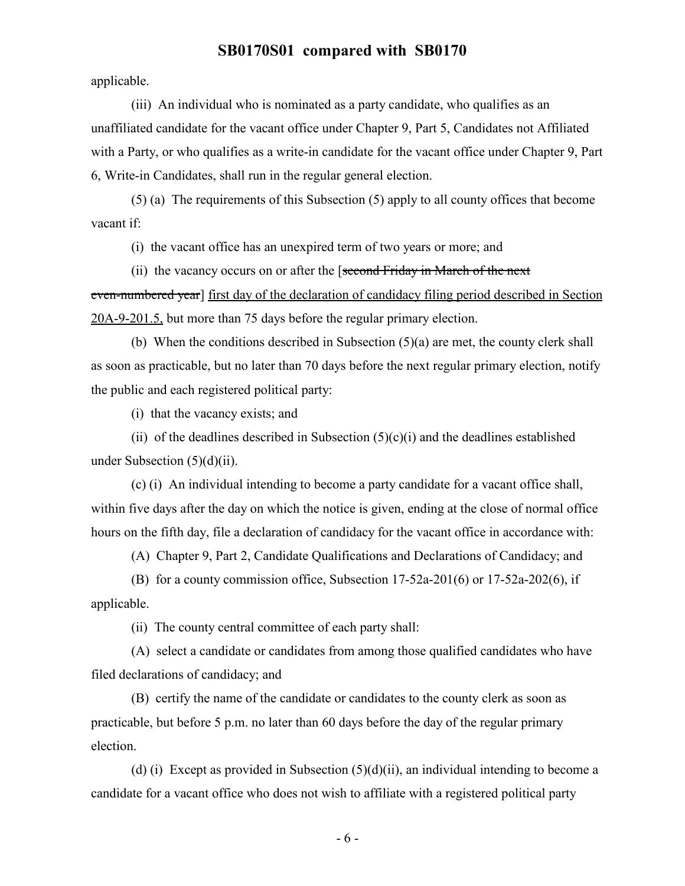applicable.

(iii) An individual who is nominated as a party candidate, who qualifies as an unaffiliated candidate for the vacant office under Chapter 9, Part 5, Candidates not Affiliated with a Party, or who qualifies as a write-in candidate for the vacant office under Chapter 9, Part 6, Write-in Candidates, shall run in the regular general election.

(5) (a) The requirements of this Subsection (5) apply to all county offices that become vacant if:

(i) the vacant office has an unexpired term of two years or more; and

(ii) the vacancy occurs on or after the [second Friday in March of the next even-numbered year] first day of the declaration of candidacy filing period described in Section 20A-9-201.5, but more than 75 days before the regular primary election.

(b) When the conditions described in Subsection (5)(a) are met, the county clerk shall as soon as practicable, but no later than 70 days before the next regular primary election, notify the public and each registered political party:

(i) that the vacancy exists; and

(ii) of the deadlines described in Subsection  $(5)(c)(i)$  and the deadlines established under Subsection  $(5)(d)(ii)$ .

(c) (i) An individual intending to become a party candidate for a vacant office shall, within five days after the day on which the notice is given, ending at the close of normal office hours on the fifth day, file a declaration of candidacy for the vacant office in accordance with:

(A) Chapter 9, Part 2, Candidate Qualifications and Declarations of Candidacy; and

(B) for a county commission office, Subsection 17-52a-201(6) or 17-52a-202(6), if applicable.

(ii) The county central committee of each party shall:

(A) select a candidate or candidates from among those qualified candidates who have filed declarations of candidacy; and

(B) certify the name of the candidate or candidates to the county clerk as soon as practicable, but before 5 p.m. no later than 60 days before the day of the regular primary election.

(d) (i) Except as provided in Subsection  $(5)(d)(ii)$ , an individual intending to become a candidate for a vacant office who does not wish to affiliate with a registered political party

- 6 -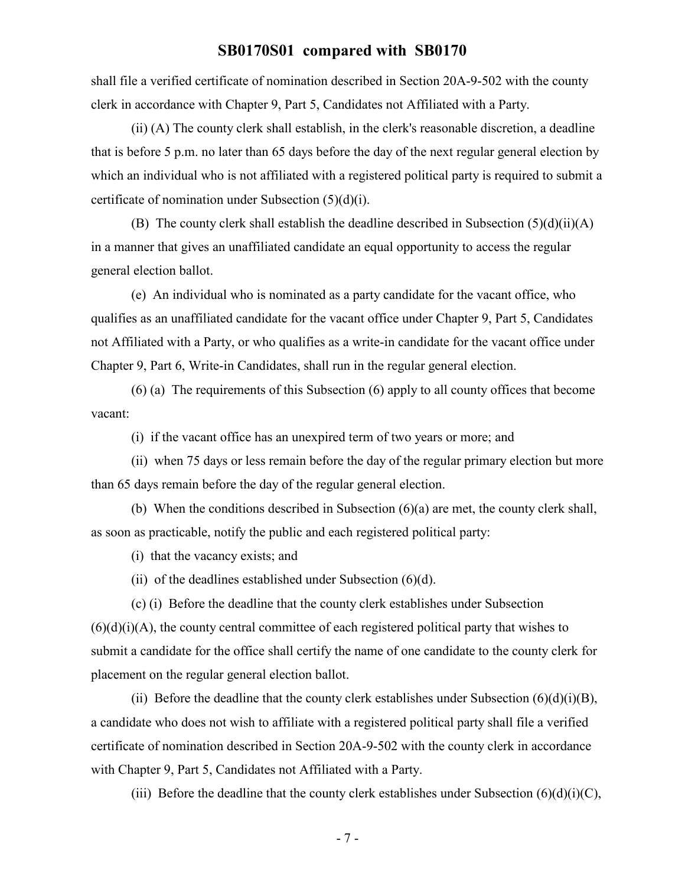shall file a verified certificate of nomination described in Section 20A-9-502 with the county clerk in accordance with Chapter 9, Part 5, Candidates not Affiliated with a Party.

(ii) (A) The county clerk shall establish, in the clerk's reasonable discretion, a deadline that is before 5 p.m. no later than 65 days before the day of the next regular general election by which an individual who is not affiliated with a registered political party is required to submit a certificate of nomination under Subsection (5)(d)(i).

(B) The county clerk shall establish the deadline described in Subsection  $(5)(d)(ii)(A)$ in a manner that gives an unaffiliated candidate an equal opportunity to access the regular general election ballot.

(e) An individual who is nominated as a party candidate for the vacant office, who qualifies as an unaffiliated candidate for the vacant office under Chapter 9, Part 5, Candidates not Affiliated with a Party, or who qualifies as a write-in candidate for the vacant office under Chapter 9, Part 6, Write-in Candidates, shall run in the regular general election.

(6) (a) The requirements of this Subsection (6) apply to all county offices that become vacant:

(i) if the vacant office has an unexpired term of two years or more; and

(ii) when 75 days or less remain before the day of the regular primary election but more than 65 days remain before the day of the regular general election.

(b) When the conditions described in Subsection (6)(a) are met, the county clerk shall, as soon as practicable, notify the public and each registered political party:

(i) that the vacancy exists; and

(ii) of the deadlines established under Subsection (6)(d).

(c) (i) Before the deadline that the county clerk establishes under Subsection  $(6)(d)(i)(A)$ , the county central committee of each registered political party that wishes to submit a candidate for the office shall certify the name of one candidate to the county clerk for placement on the regular general election ballot.

(ii) Before the deadline that the county clerk establishes under Subsection  $(6)(d)(i)(B)$ , a candidate who does not wish to affiliate with a registered political party shall file a verified certificate of nomination described in Section 20A-9-502 with the county clerk in accordance with Chapter 9, Part 5, Candidates not Affiliated with a Party.

(iii) Before the deadline that the county clerk establishes under Subsection  $(6)(d)(i)(C)$ ,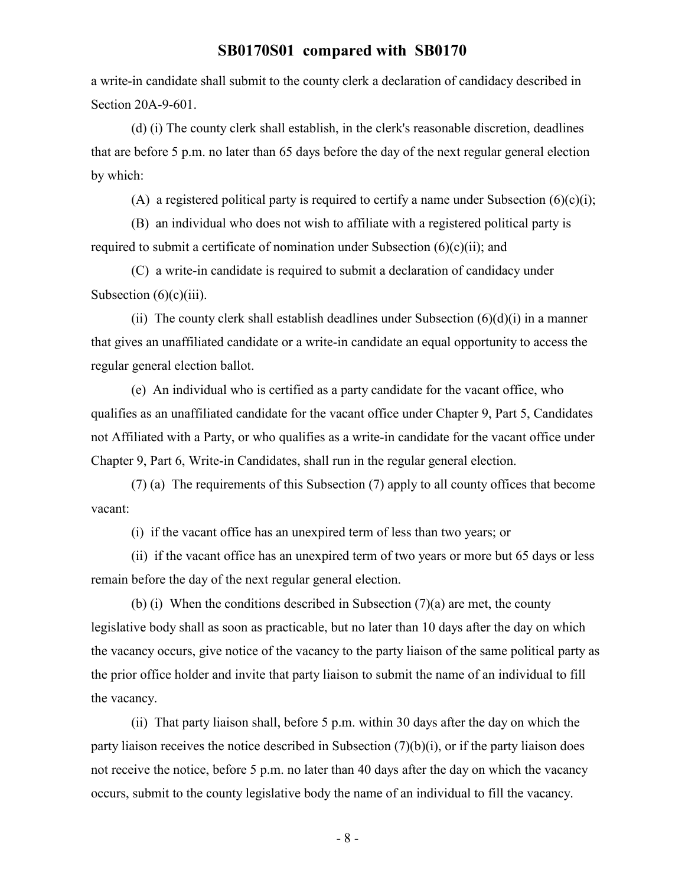a write-in candidate shall submit to the county clerk a declaration of candidacy described in Section 20A-9-601.

(d) (i) The county clerk shall establish, in the clerk's reasonable discretion, deadlines that are before 5 p.m. no later than 65 days before the day of the next regular general election by which:

(A) a registered political party is required to certify a name under Subsection  $(6)(c)(i)$ ;

(B) an individual who does not wish to affiliate with a registered political party is required to submit a certificate of nomination under Subsection  $(6)(c)(ii)$ ; and

(C) a write-in candidate is required to submit a declaration of candidacy under Subsection  $(6)(c)(iii)$ .

(ii) The county clerk shall establish deadlines under Subsection  $(6)(d)(i)$  in a manner that gives an unaffiliated candidate or a write-in candidate an equal opportunity to access the regular general election ballot.

(e) An individual who is certified as a party candidate for the vacant office, who qualifies as an unaffiliated candidate for the vacant office under Chapter 9, Part 5, Candidates not Affiliated with a Party, or who qualifies as a write-in candidate for the vacant office under Chapter 9, Part 6, Write-in Candidates, shall run in the regular general election.

(7) (a) The requirements of this Subsection (7) apply to all county offices that become vacant:

(i) if the vacant office has an unexpired term of less than two years; or

(ii) if the vacant office has an unexpired term of two years or more but 65 days or less remain before the day of the next regular general election.

(b) (i) When the conditions described in Subsection  $(7)(a)$  are met, the county legislative body shall as soon as practicable, but no later than 10 days after the day on which the vacancy occurs, give notice of the vacancy to the party liaison of the same political party as the prior office holder and invite that party liaison to submit the name of an individual to fill the vacancy.

(ii) That party liaison shall, before 5 p.m. within 30 days after the day on which the party liaison receives the notice described in Subsection (7)(b)(i), or if the party liaison does not receive the notice, before 5 p.m. no later than 40 days after the day on which the vacancy occurs, submit to the county legislative body the name of an individual to fill the vacancy.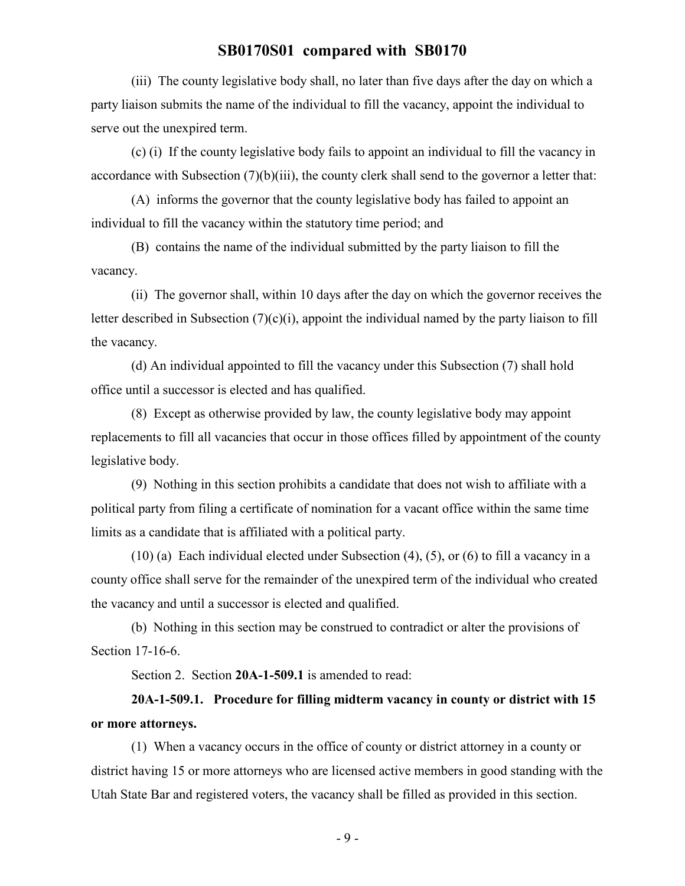(iii) The county legislative body shall, no later than five days after the day on which a party liaison submits the name of the individual to fill the vacancy, appoint the individual to serve out the unexpired term.

(c) (i) If the county legislative body fails to appoint an individual to fill the vacancy in accordance with Subsection (7)(b)(iii), the county clerk shall send to the governor a letter that:

(A) informs the governor that the county legislative body has failed to appoint an individual to fill the vacancy within the statutory time period; and

(B) contains the name of the individual submitted by the party liaison to fill the vacancy.

(ii) The governor shall, within 10 days after the day on which the governor receives the letter described in Subsection  $(7)(c)(i)$ , appoint the individual named by the party liaison to fill the vacancy.

(d) An individual appointed to fill the vacancy under this Subsection (7) shall hold office until a successor is elected and has qualified.

(8) Except as otherwise provided by law, the county legislative body may appoint replacements to fill all vacancies that occur in those offices filled by appointment of the county legislative body.

(9) Nothing in this section prohibits a candidate that does not wish to affiliate with a political party from filing a certificate of nomination for a vacant office within the same time limits as a candidate that is affiliated with a political party.

(10) (a) Each individual elected under Subsection (4), (5), or (6) to fill a vacancy in a county office shall serve for the remainder of the unexpired term of the individual who created the vacancy and until a successor is elected and qualified.

(b) Nothing in this section may be construed to contradict or alter the provisions of Section 17-16-6.

Section 2. Section 20A-1-509.1 is amended to read:

# **20A-1-509.1. Procedure for filling midterm vacancy in county or district with 15 or more attorneys.**

(1) When a vacancy occurs in the office of county or district attorney in a county or district having 15 or more attorneys who are licensed active members in good standing with the Utah State Bar and registered voters, the vacancy shall be filled as provided in this section.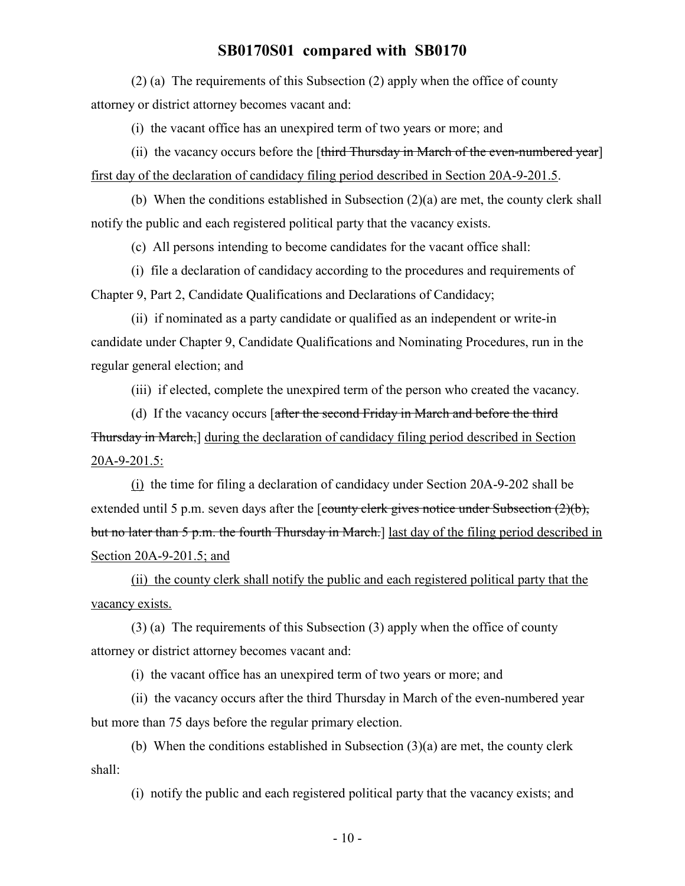(2) (a) The requirements of this Subsection (2) apply when the office of county attorney or district attorney becomes vacant and:

(i) the vacant office has an unexpired term of two years or more; and

(ii) the vacancy occurs before the  $[third\; Thursday\; in\; March\; of\; the\; even-numbered\; year]$ first day of the declaration of candidacy filing period described in Section 20A-9-201.5.

(b) When the conditions established in Subsection (2)(a) are met, the county clerk shall notify the public and each registered political party that the vacancy exists.

(c) All persons intending to become candidates for the vacant office shall:

(i) file a declaration of candidacy according to the procedures and requirements of Chapter 9, Part 2, Candidate Qualifications and Declarations of Candidacy;

(ii) if nominated as a party candidate or qualified as an independent or write-in candidate under Chapter 9, Candidate Qualifications and Nominating Procedures, run in the regular general election; and

(iii) if elected, complete the unexpired term of the person who created the vacancy.

(d) If the vacancy occurs [after the second Friday in March and before the third Thursday in March,] during the declaration of candidacy filing period described in Section 20A-9-201.5:

(i) the time for filing a declaration of candidacy under Section 20A-9-202 shall be extended until 5 p.m. seven days after the [county clerk gives notice under Subsection (2)(b), but no later than 5 p.m. the fourth Thursday in March.] last day of the filing period described in Section 20A-9-201.5; and

(ii) the county clerk shall notify the public and each registered political party that the vacancy exists.

(3) (a) The requirements of this Subsection (3) apply when the office of county attorney or district attorney becomes vacant and:

(i) the vacant office has an unexpired term of two years or more; and

(ii) the vacancy occurs after the third Thursday in March of the even-numbered year but more than 75 days before the regular primary election.

(b) When the conditions established in Subsection (3)(a) are met, the county clerk shall:

(i) notify the public and each registered political party that the vacancy exists; and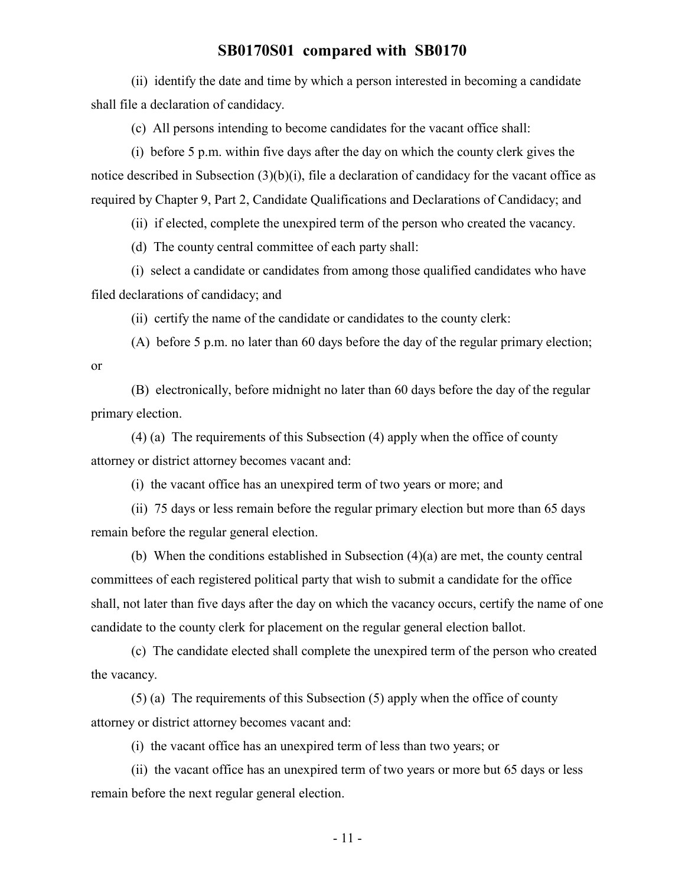(ii) identify the date and time by which a person interested in becoming a candidate shall file a declaration of candidacy.

(c) All persons intending to become candidates for the vacant office shall:

(i) before 5 p.m. within five days after the day on which the county clerk gives the notice described in Subsection (3)(b)(i), file a declaration of candidacy for the vacant office as required by Chapter 9, Part 2, Candidate Qualifications and Declarations of Candidacy; and

(ii) if elected, complete the unexpired term of the person who created the vacancy.

(d) The county central committee of each party shall:

(i) select a candidate or candidates from among those qualified candidates who have filed declarations of candidacy; and

(ii) certify the name of the candidate or candidates to the county clerk:

(A) before 5 p.m. no later than 60 days before the day of the regular primary election; or

(B) electronically, before midnight no later than 60 days before the day of the regular primary election.

(4) (a) The requirements of this Subsection (4) apply when the office of county attorney or district attorney becomes vacant and:

(i) the vacant office has an unexpired term of two years or more; and

(ii) 75 days or less remain before the regular primary election but more than 65 days remain before the regular general election.

(b) When the conditions established in Subsection (4)(a) are met, the county central committees of each registered political party that wish to submit a candidate for the office shall, not later than five days after the day on which the vacancy occurs, certify the name of one candidate to the county clerk for placement on the regular general election ballot.

(c) The candidate elected shall complete the unexpired term of the person who created the vacancy.

(5) (a) The requirements of this Subsection (5) apply when the office of county attorney or district attorney becomes vacant and:

(i) the vacant office has an unexpired term of less than two years; or

(ii) the vacant office has an unexpired term of two years or more but 65 days or less remain before the next regular general election.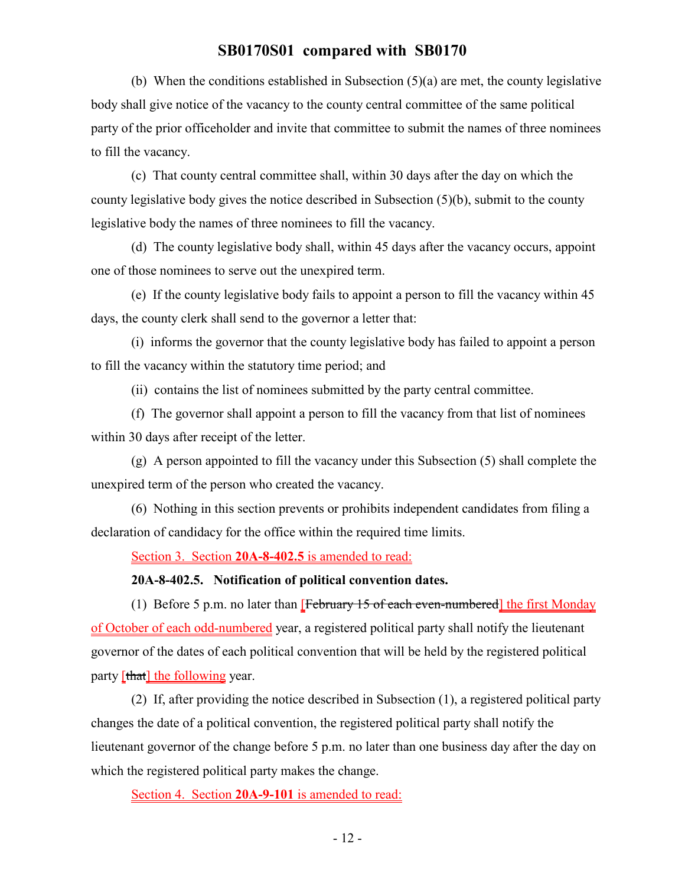(b) When the conditions established in Subsection (5)(a) are met, the county legislative body shall give notice of the vacancy to the county central committee of the same political party of the prior officeholder and invite that committee to submit the names of three nominees to fill the vacancy.

(c) That county central committee shall, within 30 days after the day on which the county legislative body gives the notice described in Subsection (5)(b), submit to the county legislative body the names of three nominees to fill the vacancy.

(d) The county legislative body shall, within 45 days after the vacancy occurs, appoint one of those nominees to serve out the unexpired term.

(e) If the county legislative body fails to appoint a person to fill the vacancy within 45 days, the county clerk shall send to the governor a letter that:

(i) informs the governor that the county legislative body has failed to appoint a person to fill the vacancy within the statutory time period; and

(ii) contains the list of nominees submitted by the party central committee.

(f) The governor shall appoint a person to fill the vacancy from that list of nominees within 30 days after receipt of the letter.

(g) A person appointed to fill the vacancy under this Subsection (5) shall complete the unexpired term of the person who created the vacancy.

(6) Nothing in this section prevents or prohibits independent candidates from filing a declaration of candidacy for the office within the required time limits.

Section 3. Section **20A-8-402.5** is amended to read:

**20A-8-402.5. Notification of political convention dates.**

(1) Before 5 p.m. no later than  $[February 15 of each even-numbered]$  the first Monday of October of each odd-numbered year, a registered political party shall notify the lieutenant governor of the dates of each political convention that will be held by the registered political party [that] the following year.

(2) If, after providing the notice described in Subsection (1), a registered political party changes the date of a political convention, the registered political party shall notify the lieutenant governor of the change before 5 p.m. no later than one business day after the day on which the registered political party makes the change.

Section 4. Section **20A-9-101** is amended to read: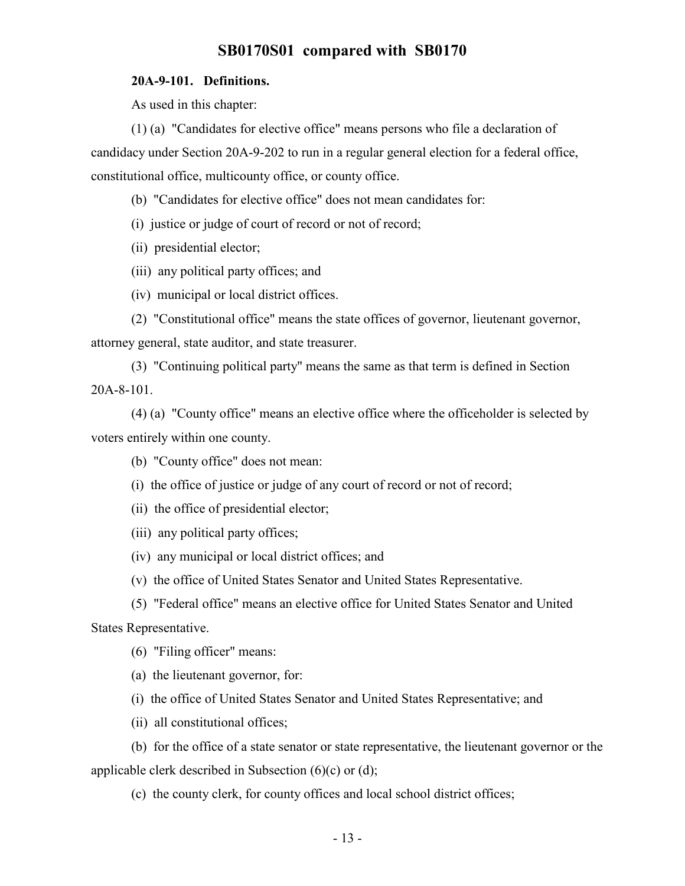#### **20A-9-101. Definitions.**

As used in this chapter:

(1) (a) "Candidates for elective office" means persons who file a declaration of candidacy under Section 20A-9-202 to run in a regular general election for a federal office, constitutional office, multicounty office, or county office.

(b) "Candidates for elective office" does not mean candidates for:

(i) justice or judge of court of record or not of record;

(ii) presidential elector;

(iii) any political party offices; and

(iv) municipal or local district offices.

(2) "Constitutional office" means the state offices of governor, lieutenant governor, attorney general, state auditor, and state treasurer.

(3) "Continuing political party" means the same as that term is defined in Section 20A-8-101.

(4) (a) "County office" means an elective office where the officeholder is selected by voters entirely within one county.

(b) "County office" does not mean:

(i) the office of justice or judge of any court of record or not of record;

(ii) the office of presidential elector;

(iii) any political party offices;

(iv) any municipal or local district offices; and

(v) the office of United States Senator and United States Representative.

(5) "Federal office" means an elective office for United States Senator and United States Representative.

(6) "Filing officer" means:

(a) the lieutenant governor, for:

(i) the office of United States Senator and United States Representative; and

(ii) all constitutional offices;

(b) for the office of a state senator or state representative, the lieutenant governor or the applicable clerk described in Subsection (6)(c) or (d);

(c) the county clerk, for county offices and local school district offices;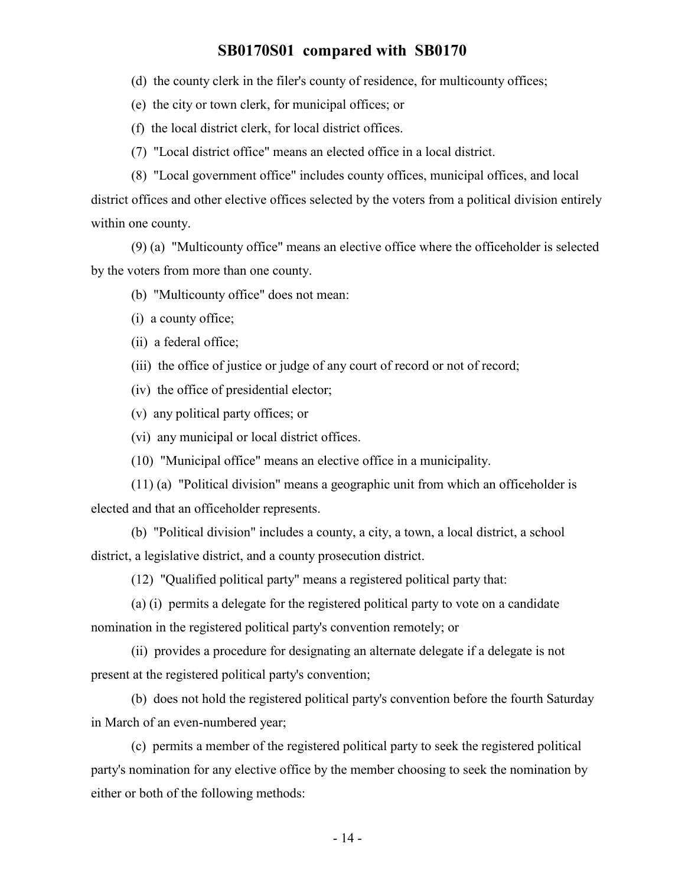(d) the county clerk in the filer's county of residence, for multicounty offices;

(e) the city or town clerk, for municipal offices; or

(f) the local district clerk, for local district offices.

(7) "Local district office" means an elected office in a local district.

(8) "Local government office" includes county offices, municipal offices, and local district offices and other elective offices selected by the voters from a political division entirely

within one county.

(9) (a) "Multicounty office" means an elective office where the officeholder is selected by the voters from more than one county.

(b) "Multicounty office" does not mean:

(i) a county office;

(ii) a federal office;

(iii) the office of justice or judge of any court of record or not of record;

(iv) the office of presidential elector;

(v) any political party offices; or

(vi) any municipal or local district offices.

(10) "Municipal office" means an elective office in a municipality.

(11) (a) "Political division" means a geographic unit from which an officeholder is elected and that an officeholder represents.

(b) "Political division" includes a county, a city, a town, a local district, a school district, a legislative district, and a county prosecution district.

(12) "Qualified political party" means a registered political party that:

(a) (i) permits a delegate for the registered political party to vote on a candidate nomination in the registered political party's convention remotely; or

(ii) provides a procedure for designating an alternate delegate if a delegate is not present at the registered political party's convention;

(b) does not hold the registered political party's convention before the fourth Saturday in March of an even-numbered year;

(c) permits a member of the registered political party to seek the registered political party's nomination for any elective office by the member choosing to seek the nomination by either or both of the following methods: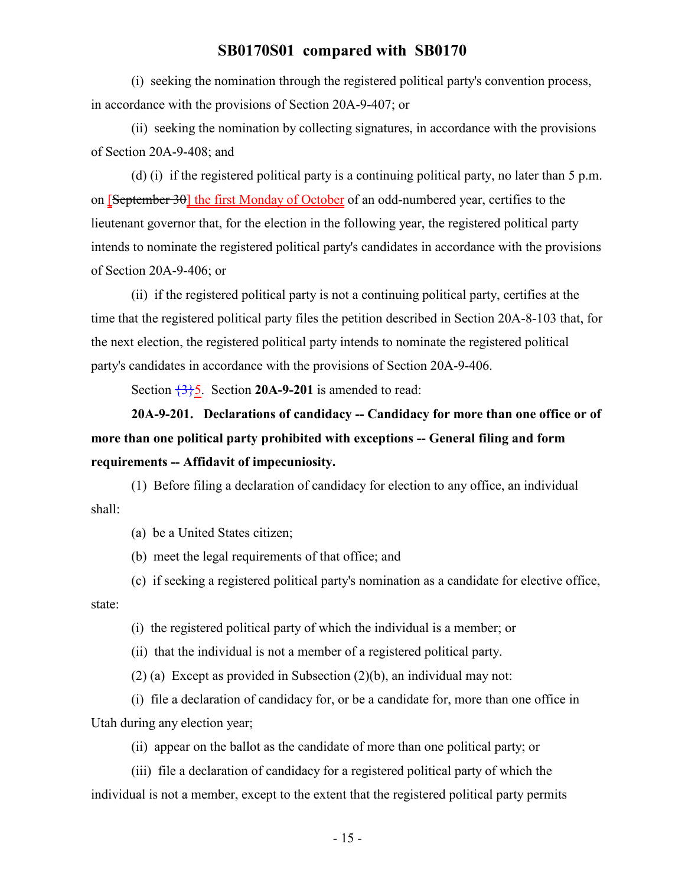(i) seeking the nomination through the registered political party's convention process, in accordance with the provisions of Section 20A-9-407; or

(ii) seeking the nomination by collecting signatures, in accordance with the provisions of Section 20A-9-408; and

(d) (i) if the registered political party is a continuing political party, no later than 5 p.m. on [September 30] the first Monday of October of an odd-numbered year, certifies to the lieutenant governor that, for the election in the following year, the registered political party intends to nominate the registered political party's candidates in accordance with the provisions of Section 20A-9-406; or

(ii) if the registered political party is not a continuing political party, certifies at the time that the registered political party files the petition described in Section 20A-8-103 that, for the next election, the registered political party intends to nominate the registered political party's candidates in accordance with the provisions of Section 20A-9-406.

Section  $\frac{3}{5}$ . Section **20A-9-201** is amended to read:

**20A-9-201. Declarations of candidacy -- Candidacy for more than one office or of more than one political party prohibited with exceptions -- General filing and form requirements -- Affidavit of impecuniosity.**

(1) Before filing a declaration of candidacy for election to any office, an individual shall:

(a) be a United States citizen;

(b) meet the legal requirements of that office; and

(c) if seeking a registered political party's nomination as a candidate for elective office, state:

(i) the registered political party of which the individual is a member; or

(ii) that the individual is not a member of a registered political party.

(2) (a) Except as provided in Subsection (2)(b), an individual may not:

(i) file a declaration of candidacy for, or be a candidate for, more than one office in Utah during any election year;

(ii) appear on the ballot as the candidate of more than one political party; or

(iii) file a declaration of candidacy for a registered political party of which the individual is not a member, except to the extent that the registered political party permits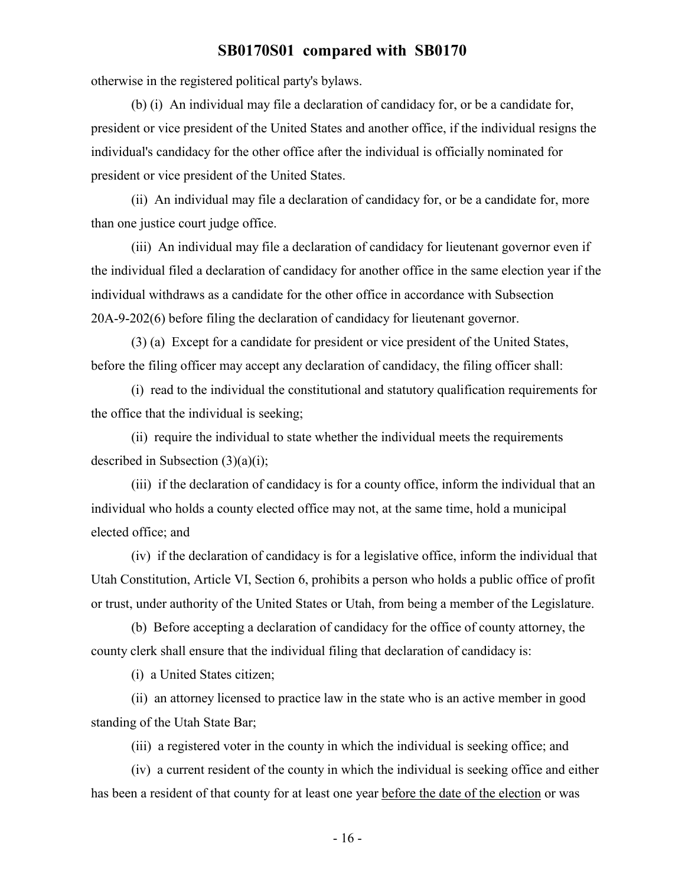otherwise in the registered political party's bylaws.

(b) (i) An individual may file a declaration of candidacy for, or be a candidate for, president or vice president of the United States and another office, if the individual resigns the individual's candidacy for the other office after the individual is officially nominated for president or vice president of the United States.

(ii) An individual may file a declaration of candidacy for, or be a candidate for, more than one justice court judge office.

(iii) An individual may file a declaration of candidacy for lieutenant governor even if the individual filed a declaration of candidacy for another office in the same election year if the individual withdraws as a candidate for the other office in accordance with Subsection 20A-9-202(6) before filing the declaration of candidacy for lieutenant governor.

(3) (a) Except for a candidate for president or vice president of the United States, before the filing officer may accept any declaration of candidacy, the filing officer shall:

(i) read to the individual the constitutional and statutory qualification requirements for the office that the individual is seeking;

(ii) require the individual to state whether the individual meets the requirements described in Subsection  $(3)(a)(i)$ ;

(iii) if the declaration of candidacy is for a county office, inform the individual that an individual who holds a county elected office may not, at the same time, hold a municipal elected office; and

(iv) if the declaration of candidacy is for a legislative office, inform the individual that Utah Constitution, Article VI, Section 6, prohibits a person who holds a public office of profit or trust, under authority of the United States or Utah, from being a member of the Legislature.

(b) Before accepting a declaration of candidacy for the office of county attorney, the county clerk shall ensure that the individual filing that declaration of candidacy is:

(i) a United States citizen;

(ii) an attorney licensed to practice law in the state who is an active member in good standing of the Utah State Bar;

(iii) a registered voter in the county in which the individual is seeking office; and

(iv) a current resident of the county in which the individual is seeking office and either has been a resident of that county for at least one year before the date of the election or was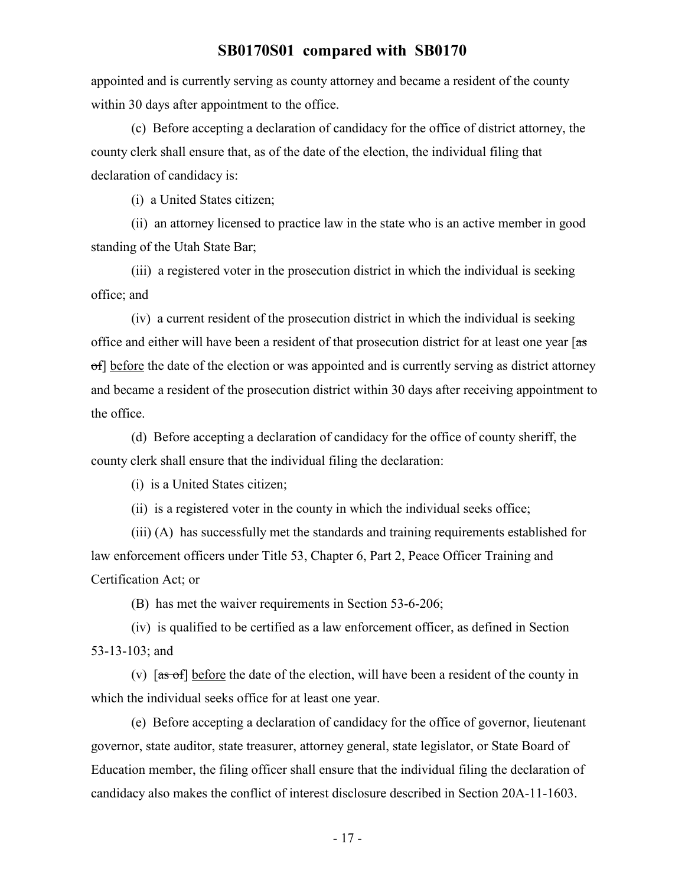appointed and is currently serving as county attorney and became a resident of the county within 30 days after appointment to the office.

(c) Before accepting a declaration of candidacy for the office of district attorney, the county clerk shall ensure that, as of the date of the election, the individual filing that declaration of candidacy is:

(i) a United States citizen;

(ii) an attorney licensed to practice law in the state who is an active member in good standing of the Utah State Bar;

(iii) a registered voter in the prosecution district in which the individual is seeking office; and

(iv) a current resident of the prosecution district in which the individual is seeking office and either will have been a resident of that prosecution district for at least one year [ $\frac{1}{35}$ ] of] before the date of the election or was appointed and is currently serving as district attorney and became a resident of the prosecution district within 30 days after receiving appointment to the office.

(d) Before accepting a declaration of candidacy for the office of county sheriff, the county clerk shall ensure that the individual filing the declaration:

(i) is a United States citizen;

(ii) is a registered voter in the county in which the individual seeks office;

(iii) (A) has successfully met the standards and training requirements established for law enforcement officers under Title 53, Chapter 6, Part 2, Peace Officer Training and Certification Act; or

(B) has met the waiver requirements in Section 53-6-206;

(iv) is qualified to be certified as a law enforcement officer, as defined in Section 53-13-103; and

(v)  $\overline{a}$  [as of] before the date of the election, will have been a resident of the county in which the individual seeks office for at least one year.

(e) Before accepting a declaration of candidacy for the office of governor, lieutenant governor, state auditor, state treasurer, attorney general, state legislator, or State Board of Education member, the filing officer shall ensure that the individual filing the declaration of candidacy also makes the conflict of interest disclosure described in Section 20A-11-1603.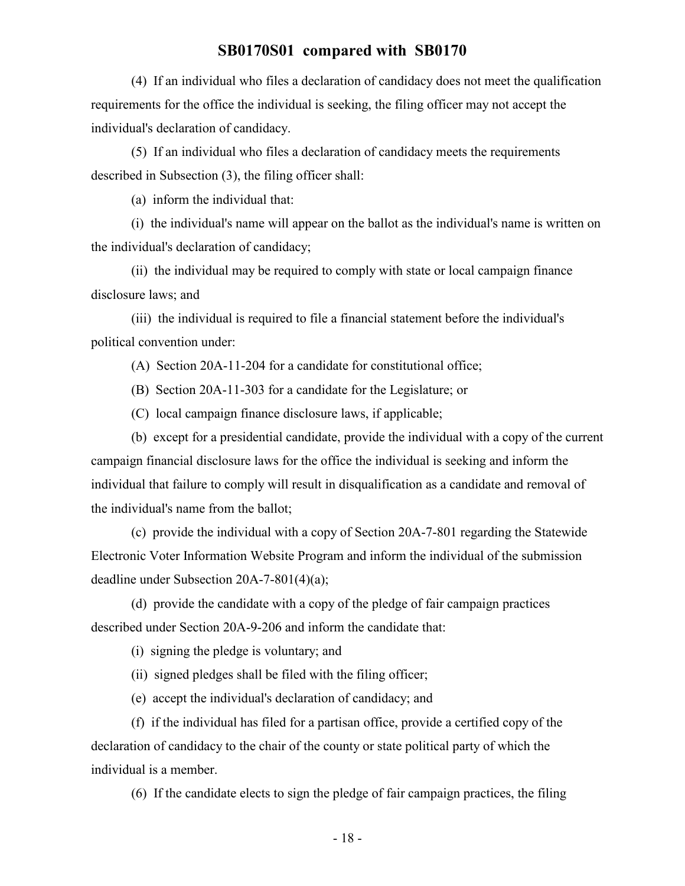(4) If an individual who files a declaration of candidacy does not meet the qualification requirements for the office the individual is seeking, the filing officer may not accept the individual's declaration of candidacy.

(5) If an individual who files a declaration of candidacy meets the requirements described in Subsection (3), the filing officer shall:

(a) inform the individual that:

(i) the individual's name will appear on the ballot as the individual's name is written on the individual's declaration of candidacy;

(ii) the individual may be required to comply with state or local campaign finance disclosure laws; and

(iii) the individual is required to file a financial statement before the individual's political convention under:

(A) Section 20A-11-204 for a candidate for constitutional office;

(B) Section 20A-11-303 for a candidate for the Legislature; or

(C) local campaign finance disclosure laws, if applicable;

(b) except for a presidential candidate, provide the individual with a copy of the current campaign financial disclosure laws for the office the individual is seeking and inform the individual that failure to comply will result in disqualification as a candidate and removal of the individual's name from the ballot;

(c) provide the individual with a copy of Section 20A-7-801 regarding the Statewide Electronic Voter Information Website Program and inform the individual of the submission deadline under Subsection 20A-7-801(4)(a);

(d) provide the candidate with a copy of the pledge of fair campaign practices described under Section 20A-9-206 and inform the candidate that:

(i) signing the pledge is voluntary; and

(ii) signed pledges shall be filed with the filing officer;

(e) accept the individual's declaration of candidacy; and

(f) if the individual has filed for a partisan office, provide a certified copy of the declaration of candidacy to the chair of the county or state political party of which the individual is a member.

(6) If the candidate elects to sign the pledge of fair campaign practices, the filing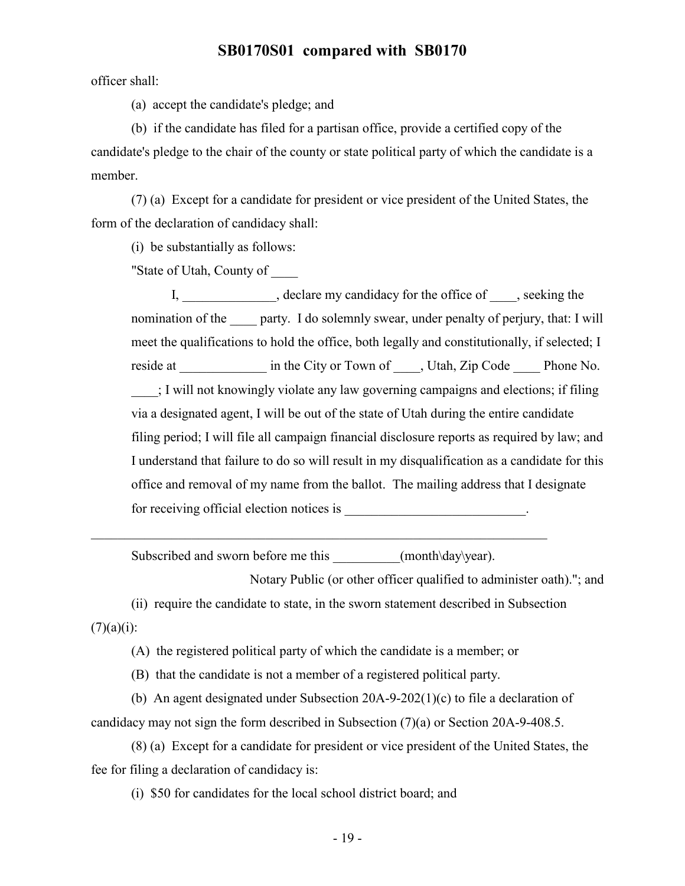officer shall:

(a) accept the candidate's pledge; and

(b) if the candidate has filed for a partisan office, provide a certified copy of the candidate's pledge to the chair of the county or state political party of which the candidate is a member.

(7) (a) Except for a candidate for president or vice president of the United States, the form of the declaration of candidacy shall:

(i) be substantially as follows:

"State of Utah, County of \_\_\_\_

I, declare my candidacy for the office of , seeking the nomination of the party. I do solemnly swear, under penalty of perjury, that: I will meet the qualifications to hold the office, both legally and constitutionally, if selected; I reside at \_\_\_\_\_\_\_\_\_\_\_\_\_\_ in the City or Town of \_\_\_\_\_, Utah, Zip Code \_\_\_\_\_\_\_ Phone No. \_\_\_\_; I will not knowingly violate any law governing campaigns and elections; if filing via a designated agent, I will be out of the state of Utah during the entire candidate filing period; I will file all campaign financial disclosure reports as required by law; and I understand that failure to do so will result in my disqualification as a candidate for this office and removal of my name from the ballot. The mailing address that I designate for receiving official election notices is  $\blacksquare$ 

Subscribed and sworn before me this  $(month\day\year)$ .

Notary Public (or other officer qualified to administer oath)."; and

(ii) require the candidate to state, in the sworn statement described in Subsection  $(7)(a)(i)$ :

(A) the registered political party of which the candidate is a member; or

(B) that the candidate is not a member of a registered political party.

(b) An agent designated under Subsection 20A-9-202(1)(c) to file a declaration of candidacy may not sign the form described in Subsection (7)(a) or Section 20A-9-408.5.

(8) (a) Except for a candidate for president or vice president of the United States, the fee for filing a declaration of candidacy is:

(i) \$50 for candidates for the local school district board; and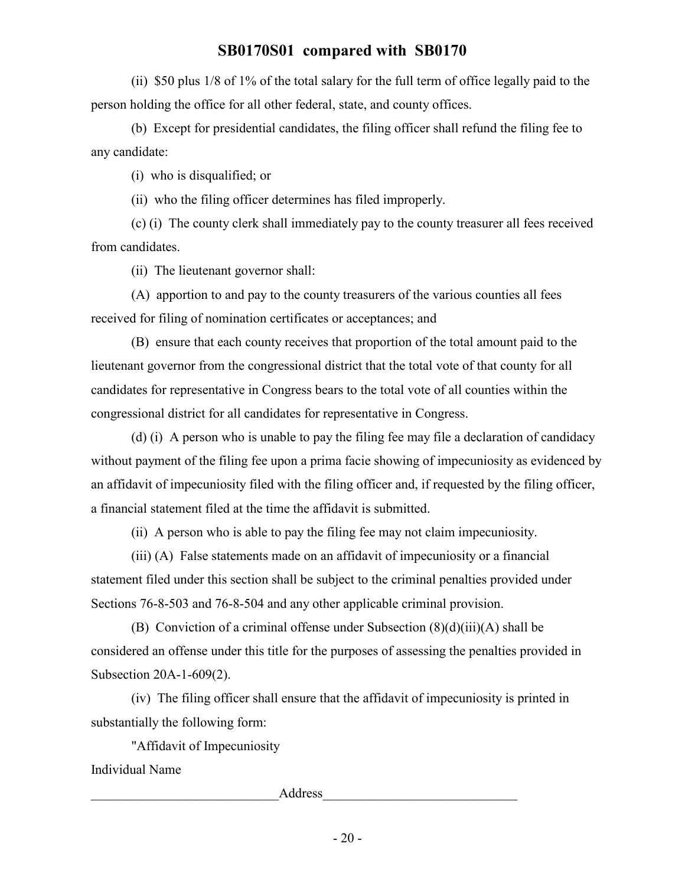(ii) \$50 plus 1/8 of 1% of the total salary for the full term of office legally paid to the person holding the office for all other federal, state, and county offices.

(b) Except for presidential candidates, the filing officer shall refund the filing fee to any candidate:

(i) who is disqualified; or

(ii) who the filing officer determines has filed improperly.

(c) (i) The county clerk shall immediately pay to the county treasurer all fees received from candidates.

(ii) The lieutenant governor shall:

(A) apportion to and pay to the county treasurers of the various counties all fees received for filing of nomination certificates or acceptances; and

(B) ensure that each county receives that proportion of the total amount paid to the lieutenant governor from the congressional district that the total vote of that county for all candidates for representative in Congress bears to the total vote of all counties within the congressional district for all candidates for representative in Congress.

(d) (i) A person who is unable to pay the filing fee may file a declaration of candidacy without payment of the filing fee upon a prima facie showing of impecuniosity as evidenced by an affidavit of impecuniosity filed with the filing officer and, if requested by the filing officer, a financial statement filed at the time the affidavit is submitted.

(ii) A person who is able to pay the filing fee may not claim impecuniosity.

(iii) (A) False statements made on an affidavit of impecuniosity or a financial statement filed under this section shall be subject to the criminal penalties provided under Sections 76-8-503 and 76-8-504 and any other applicable criminal provision.

(B) Conviction of a criminal offense under Subsection  $(8)(d)(iii)(A)$  shall be considered an offense under this title for the purposes of assessing the penalties provided in Subsection 20A-1-609(2).

(iv) The filing officer shall ensure that the affidavit of impecuniosity is printed in substantially the following form:

"Affidavit of Impecuniosity

Individual Name

example and the contract of  $\Delta$ ddress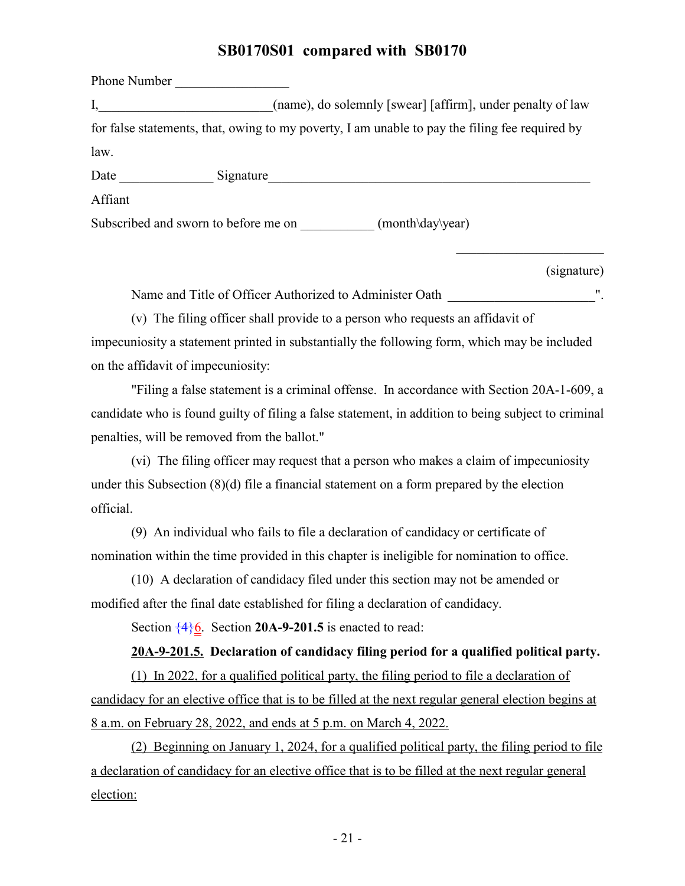Phone Number I, (name), do solemnly [swear] [affirm], under penalty of law for false statements, that, owing to my poverty, I am unable to pay the filing fee required by law. Date Signature Affiant Subscribed and sworn to before me on \_\_\_\_\_\_\_\_\_\_\_\_ (month\day\year)

(signature)

Name and Title of Officer Authorized to Administer Oath  $\blacksquare$ .

(v) The filing officer shall provide to a person who requests an affidavit of impecuniosity a statement printed in substantially the following form, which may be included on the affidavit of impecuniosity:

"Filing a false statement is a criminal offense. In accordance with Section 20A-1-609, a candidate who is found guilty of filing a false statement, in addition to being subject to criminal penalties, will be removed from the ballot."

(vi) The filing officer may request that a person who makes a claim of impecuniosity under this Subsection (8)(d) file a financial statement on a form prepared by the election official.

(9) An individual who fails to file a declaration of candidacy or certificate of nomination within the time provided in this chapter is ineligible for nomination to office.

(10) A declaration of candidacy filed under this section may not be amended or modified after the final date established for filing a declaration of candidacy.

Section  $\frac{4}{6}$ . Section **20A-9-201.5** is enacted to read:

#### **20A-9-201.5. Declaration of candidacy filing period for a qualified political party.**

(1) In 2022, for a qualified political party, the filing period to file a declaration of candidacy for an elective office that is to be filled at the next regular general election begins at 8 a.m. on February 28, 2022, and ends at 5 p.m. on March 4, 2022.

(2) Beginning on January 1, 2024, for a qualified political party, the filing period to file a declaration of candidacy for an elective office that is to be filled at the next regular general election: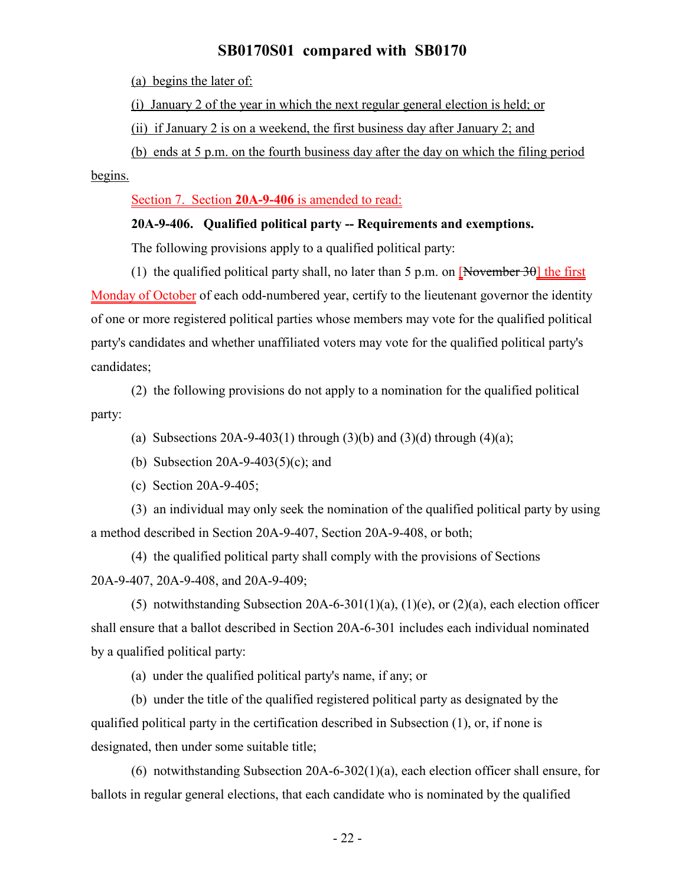(a) begins the later of:

(i) January 2 of the year in which the next regular general election is held; or

(ii) if January 2 is on a weekend, the first business day after January 2; and

(b) ends at 5 p.m. on the fourth business day after the day on which the filing period

begins.

Section 7. Section **20A-9-406** is amended to read:

#### **20A-9-406. Qualified political party -- Requirements and exemptions.**

The following provisions apply to a qualified political party:

(1) the qualified political party shall, no later than 5 p.m. on  $\sqrt{N}$  November 30 the first Monday of October of each odd-numbered year, certify to the lieutenant governor the identity of one or more registered political parties whose members may vote for the qualified political party's candidates and whether unaffiliated voters may vote for the qualified political party's candidates;

(2) the following provisions do not apply to a nomination for the qualified political party:

(a) Subsections 20A-9-403(1) through (3)(b) and (3)(d) through (4)(a);

(b) Subsection 20A-9-403(5)(c); and

(c) Section 20A-9-405;

(3) an individual may only seek the nomination of the qualified political party by using a method described in Section 20A-9-407, Section 20A-9-408, or both;

(4) the qualified political party shall comply with the provisions of Sections 20A-9-407, 20A-9-408, and 20A-9-409;

(5) notwithstanding Subsection 20A-6-301(1)(a), (1)(e), or (2)(a), each election officer shall ensure that a ballot described in Section 20A-6-301 includes each individual nominated by a qualified political party:

(a) under the qualified political party's name, if any; or

(b) under the title of the qualified registered political party as designated by the qualified political party in the certification described in Subsection (1), or, if none is designated, then under some suitable title;

(6) notwithstanding Subsection 20A-6-302(1)(a), each election officer shall ensure, for ballots in regular general elections, that each candidate who is nominated by the qualified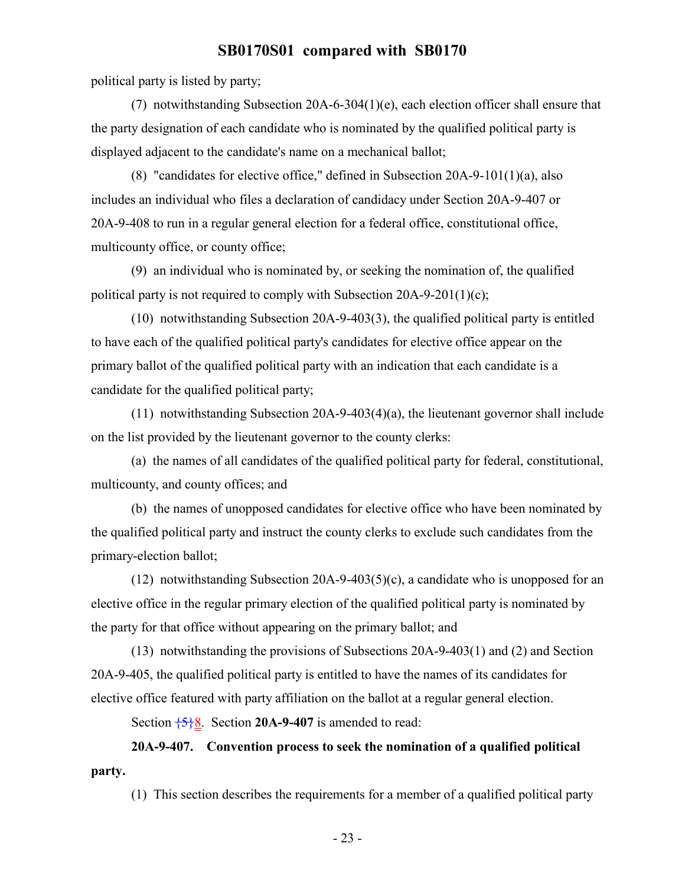political party is listed by party;

(7) notwithstanding Subsection 20A-6-304(1)(e), each election officer shall ensure that the party designation of each candidate who is nominated by the qualified political party is displayed adjacent to the candidate's name on a mechanical ballot;

(8) "candidates for elective office," defined in Subsection 20A-9-101(1)(a), also includes an individual who files a declaration of candidacy under Section 20A-9-407 or 20A-9-408 to run in a regular general election for a federal office, constitutional office, multicounty office, or county office;

(9) an individual who is nominated by, or seeking the nomination of, the qualified political party is not required to comply with Subsection 20A-9-201(1)(c);

(10) notwithstanding Subsection 20A-9-403(3), the qualified political party is entitled to have each of the qualified political party's candidates for elective office appear on the primary ballot of the qualified political party with an indication that each candidate is a candidate for the qualified political party;

(11) notwithstanding Subsection 20A-9-403(4)(a), the lieutenant governor shall include on the list provided by the lieutenant governor to the county clerks:

(a) the names of all candidates of the qualified political party for federal, constitutional, multicounty, and county offices; and

(b) the names of unopposed candidates for elective office who have been nominated by the qualified political party and instruct the county clerks to exclude such candidates from the primary-election ballot;

(12) notwithstanding Subsection 20A-9-403(5)(c), a candidate who is unopposed for an elective office in the regular primary election of the qualified political party is nominated by the party for that office without appearing on the primary ballot; and

(13) notwithstanding the provisions of Subsections 20A-9-403(1) and (2) and Section 20A-9-405, the qualified political party is entitled to have the names of its candidates for elective office featured with party affiliation on the ballot at a regular general election.

Section  $\frac{5}{6}$ . Section **20A-9-407** is amended to read:

# **20A-9-407. Convention process to seek the nomination of a qualified political party.**

(1) This section describes the requirements for a member of a qualified political party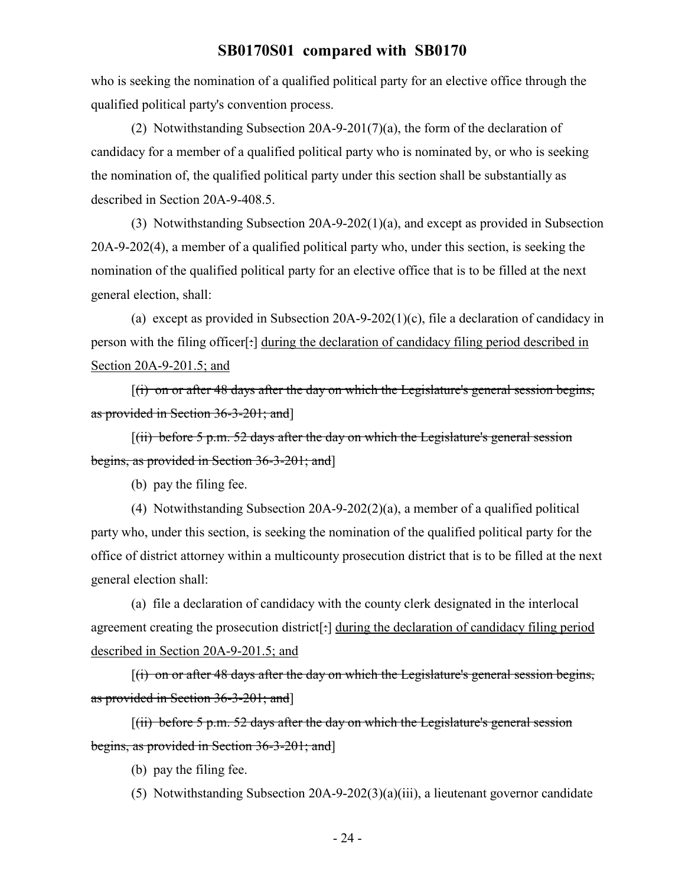who is seeking the nomination of a qualified political party for an elective office through the qualified political party's convention process.

(2) Notwithstanding Subsection 20A-9-201(7)(a), the form of the declaration of candidacy for a member of a qualified political party who is nominated by, or who is seeking the nomination of, the qualified political party under this section shall be substantially as described in Section 20A-9-408.5.

(3) Notwithstanding Subsection 20A-9-202(1)(a), and except as provided in Subsection 20A-9-202(4), a member of a qualified political party who, under this section, is seeking the nomination of the qualified political party for an elective office that is to be filled at the next general election, shall:

(a) except as provided in Subsection 20A-9-202(1)(c), file a declaration of candidacy in person with the filing officer[:] during the declaration of candidacy filing period described in Section 20A-9-201.5; and

 $[(i)$  on or after 48 days after the day on which the Legislature's general session begins, as provided in Section 36-3-201; and]

 $[(ii)$  before 5 p.m. 52 days after the day on which the Legislature's general session begins, as provided in Section 36-3-201; and]

(b) pay the filing fee.

(4) Notwithstanding Subsection 20A-9-202(2)(a), a member of a qualified political party who, under this section, is seeking the nomination of the qualified political party for the office of district attorney within a multicounty prosecution district that is to be filled at the next general election shall:

(a) file a declaration of candidacy with the county clerk designated in the interlocal agreement creating the prosecution district<sup>[-</sup>] during the declaration of candidacy filing period described in Section 20A-9-201.5; and

 $[(i)$  on or after 48 days after the day on which the Legislature's general session begins, as provided in Section 36-3-201; and]

 $[(ii)$  before 5 p.m. 52 days after the day on which the Legislature's general session begins, as provided in Section 36-3-201; and]

(b) pay the filing fee.

(5) Notwithstanding Subsection 20A-9-202(3)(a)(iii), a lieutenant governor candidate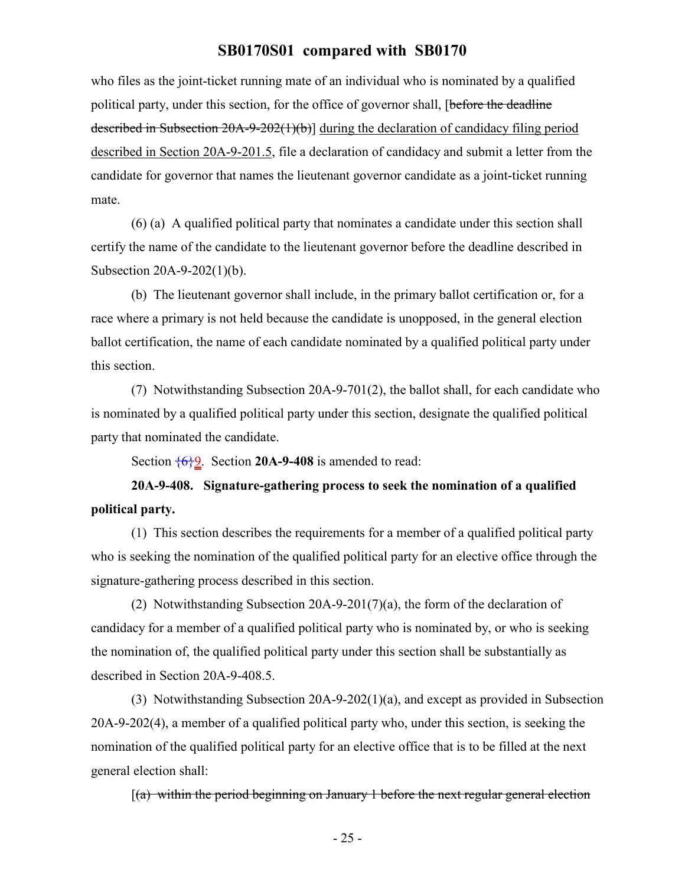who files as the joint-ticket running mate of an individual who is nominated by a qualified political party, under this section, for the office of governor shall, [before the deadline described in Subsection 20A-9-202(1)(b)] during the declaration of candidacy filing period described in Section 20A-9-201.5, file a declaration of candidacy and submit a letter from the candidate for governor that names the lieutenant governor candidate as a joint-ticket running mate.

(6) (a) A qualified political party that nominates a candidate under this section shall certify the name of the candidate to the lieutenant governor before the deadline described in Subsection 20A-9-202(1)(b).

(b) The lieutenant governor shall include, in the primary ballot certification or, for a race where a primary is not held because the candidate is unopposed, in the general election ballot certification, the name of each candidate nominated by a qualified political party under this section.

(7) Notwithstanding Subsection 20A-9-701(2), the ballot shall, for each candidate who is nominated by a qualified political party under this section, designate the qualified political party that nominated the candidate.

Section {6}9. Section **20A-9-408** is amended to read:

**20A-9-408. Signature-gathering process to seek the nomination of a qualified political party.**

(1) This section describes the requirements for a member of a qualified political party who is seeking the nomination of the qualified political party for an elective office through the signature-gathering process described in this section.

(2) Notwithstanding Subsection 20A-9-201(7)(a), the form of the declaration of candidacy for a member of a qualified political party who is nominated by, or who is seeking the nomination of, the qualified political party under this section shall be substantially as described in Section 20A-9-408.5.

(3) Notwithstanding Subsection 20A-9-202(1)(a), and except as provided in Subsection 20A-9-202(4), a member of a qualified political party who, under this section, is seeking the nomination of the qualified political party for an elective office that is to be filled at the next general election shall:

 $[(a)$  within the period beginning on January 1 before the next regular general election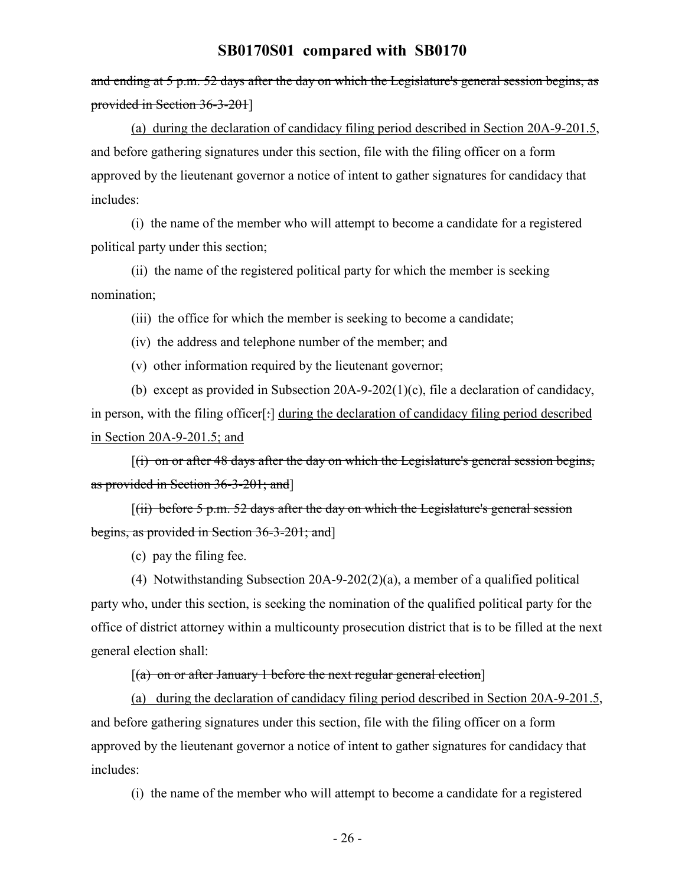and ending at 5 p.m. 52 days after the day on which the Legislature's general session begins, as provided in Section 36-3-201]

(a) during the declaration of candidacy filing period described in Section 20A-9-201.5, and before gathering signatures under this section, file with the filing officer on a form approved by the lieutenant governor a notice of intent to gather signatures for candidacy that includes:

(i) the name of the member who will attempt to become a candidate for a registered political party under this section;

(ii) the name of the registered political party for which the member is seeking nomination;

(iii) the office for which the member is seeking to become a candidate;

(iv) the address and telephone number of the member; and

(v) other information required by the lieutenant governor;

(b) except as provided in Subsection 20A-9-202(1)(c), file a declaration of candidacy, in person, with the filing officer<sup>[-]</sup> during the declaration of candidacy filing period described in Section 20A-9-201.5; and

[(i) on or after 48 days after the day on which the Legislature's general session begins, as provided in Section 36-3-201; and]

 $[(iii)$  before 5 p.m. 52 days after the day on which the Legislature's general session begins, as provided in Section 36-3-201; and]

(c) pay the filing fee.

(4) Notwithstanding Subsection 20A-9-202(2)(a), a member of a qualified political party who, under this section, is seeking the nomination of the qualified political party for the office of district attorney within a multicounty prosecution district that is to be filled at the next general election shall:

#### $[(a)$  on or after January 1 before the next regular general election

(a) during the declaration of candidacy filing period described in Section 20A-9-201.5, and before gathering signatures under this section, file with the filing officer on a form approved by the lieutenant governor a notice of intent to gather signatures for candidacy that includes:

(i) the name of the member who will attempt to become a candidate for a registered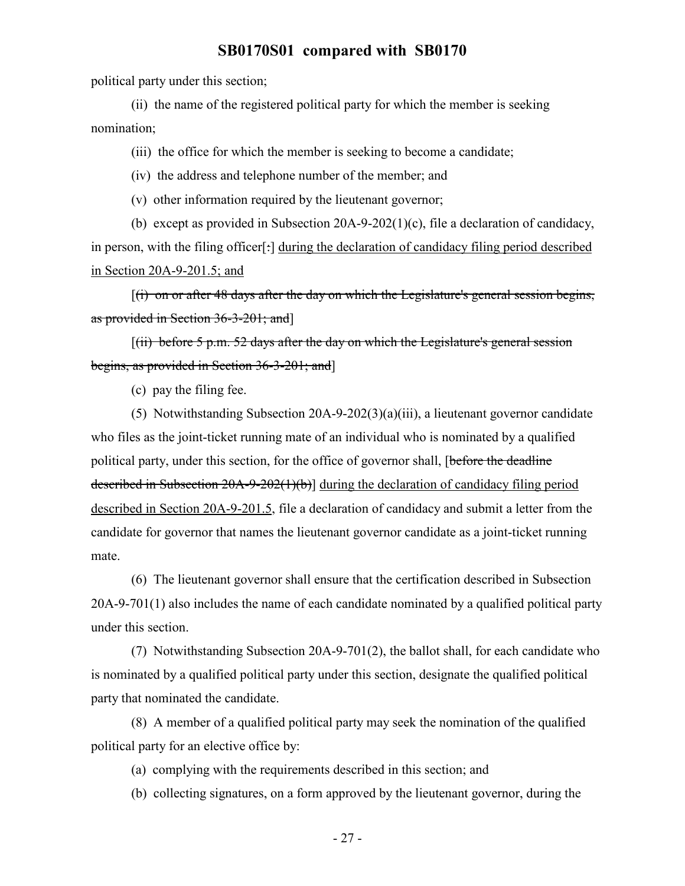political party under this section;

(ii) the name of the registered political party for which the member is seeking nomination;

(iii) the office for which the member is seeking to become a candidate;

(iv) the address and telephone number of the member; and

(v) other information required by the lieutenant governor;

(b) except as provided in Subsection 20A-9-202(1)(c), file a declaration of candidacy, in person, with the filing officer<sup>[-]</sup> during the declaration of candidacy filing period described in Section 20A-9-201.5; and

 $[(i)$  on or after 48 days after the day on which the Legislature's general session begins, as provided in Section 36-3-201; and]

 $[(ii)$  before 5 p.m. 52 days after the day on which the Legislature's general session begins, as provided in Section 36-3-201; and]

(c) pay the filing fee.

(5) Notwithstanding Subsection 20A-9-202(3)(a)(iii), a lieutenant governor candidate who files as the joint-ticket running mate of an individual who is nominated by a qualified political party, under this section, for the office of governor shall, [before the deadline described in Subsection 20A-9-202(1)(b)] during the declaration of candidacy filing period described in Section 20A-9-201.5, file a declaration of candidacy and submit a letter from the candidate for governor that names the lieutenant governor candidate as a joint-ticket running mate.

(6) The lieutenant governor shall ensure that the certification described in Subsection 20A-9-701(1) also includes the name of each candidate nominated by a qualified political party under this section.

(7) Notwithstanding Subsection 20A-9-701(2), the ballot shall, for each candidate who is nominated by a qualified political party under this section, designate the qualified political party that nominated the candidate.

(8) A member of a qualified political party may seek the nomination of the qualified political party for an elective office by:

(a) complying with the requirements described in this section; and

(b) collecting signatures, on a form approved by the lieutenant governor, during the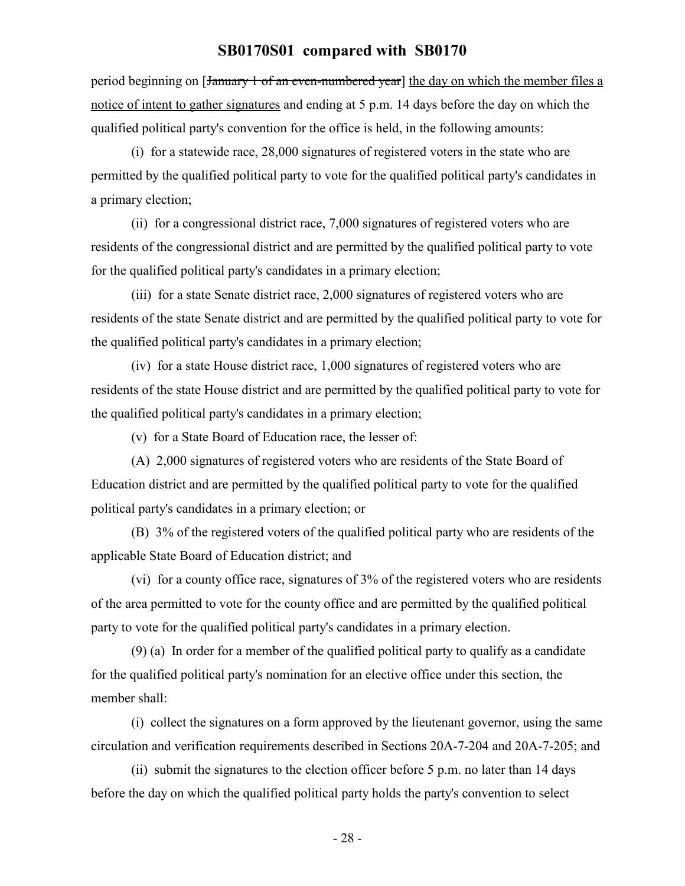period beginning on [January 1 of an even-numbered year] the day on which the member files a notice of intent to gather signatures and ending at 5 p.m. 14 days before the day on which the qualified political party's convention for the office is held, in the following amounts:

(i) for a statewide race, 28,000 signatures of registered voters in the state who are permitted by the qualified political party to vote for the qualified political party's candidates in a primary election;

(ii) for a congressional district race, 7,000 signatures of registered voters who are residents of the congressional district and are permitted by the qualified political party to vote for the qualified political party's candidates in a primary election;

(iii) for a state Senate district race, 2,000 signatures of registered voters who are residents of the state Senate district and are permitted by the qualified political party to vote for the qualified political party's candidates in a primary election;

(iv) for a state House district race, 1,000 signatures of registered voters who are residents of the state House district and are permitted by the qualified political party to vote for the qualified political party's candidates in a primary election;

(v) for a State Board of Education race, the lesser of:

(A) 2,000 signatures of registered voters who are residents of the State Board of Education district and are permitted by the qualified political party to vote for the qualified political party's candidates in a primary election; or

(B) 3% of the registered voters of the qualified political party who are residents of the applicable State Board of Education district; and

(vi) for a county office race, signatures of 3% of the registered voters who are residents of the area permitted to vote for the county office and are permitted by the qualified political party to vote for the qualified political party's candidates in a primary election.

(9) (a) In order for a member of the qualified political party to qualify as a candidate for the qualified political party's nomination for an elective office under this section, the member shall:

(i) collect the signatures on a form approved by the lieutenant governor, using the same circulation and verification requirements described in Sections 20A-7-204 and 20A-7-205; and

(ii) submit the signatures to the election officer before 5 p.m. no later than 14 days before the day on which the qualified political party holds the party's convention to select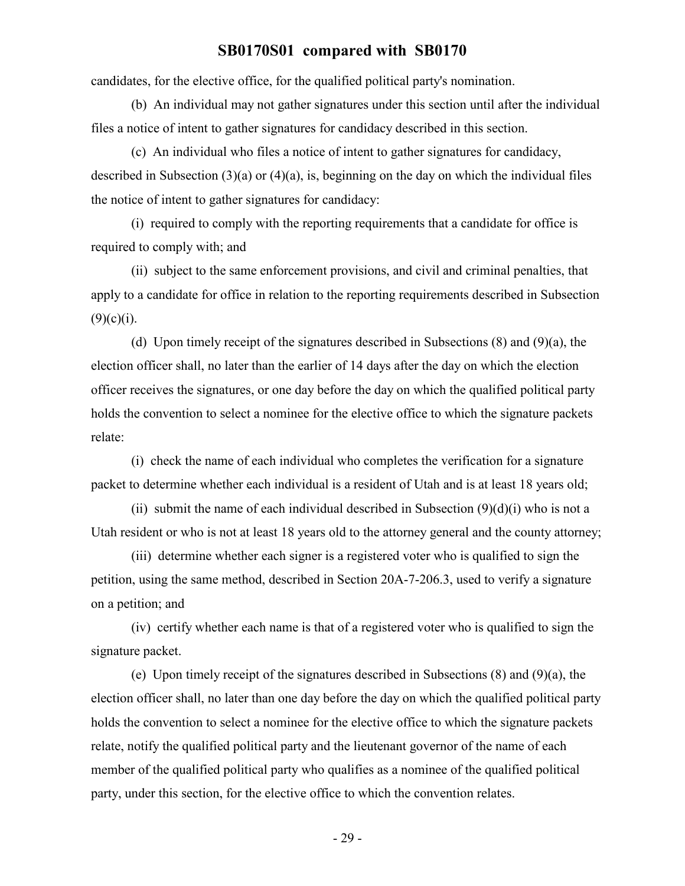candidates, for the elective office, for the qualified political party's nomination.

(b) An individual may not gather signatures under this section until after the individual files a notice of intent to gather signatures for candidacy described in this section.

(c) An individual who files a notice of intent to gather signatures for candidacy, described in Subsection (3)(a) or (4)(a), is, beginning on the day on which the individual files the notice of intent to gather signatures for candidacy:

(i) required to comply with the reporting requirements that a candidate for office is required to comply with; and

(ii) subject to the same enforcement provisions, and civil and criminal penalties, that apply to a candidate for office in relation to the reporting requirements described in Subsection  $(9)(c)(i)$ .

(d) Upon timely receipt of the signatures described in Subsections (8) and (9)(a), the election officer shall, no later than the earlier of 14 days after the day on which the election officer receives the signatures, or one day before the day on which the qualified political party holds the convention to select a nominee for the elective office to which the signature packets relate:

(i) check the name of each individual who completes the verification for a signature packet to determine whether each individual is a resident of Utah and is at least 18 years old;

(ii) submit the name of each individual described in Subsection  $(9)(d)(i)$  who is not a Utah resident or who is not at least 18 years old to the attorney general and the county attorney;

(iii) determine whether each signer is a registered voter who is qualified to sign the petition, using the same method, described in Section 20A-7-206.3, used to verify a signature on a petition; and

(iv) certify whether each name is that of a registered voter who is qualified to sign the signature packet.

(e) Upon timely receipt of the signatures described in Subsections (8) and (9)(a), the election officer shall, no later than one day before the day on which the qualified political party holds the convention to select a nominee for the elective office to which the signature packets relate, notify the qualified political party and the lieutenant governor of the name of each member of the qualified political party who qualifies as a nominee of the qualified political party, under this section, for the elective office to which the convention relates.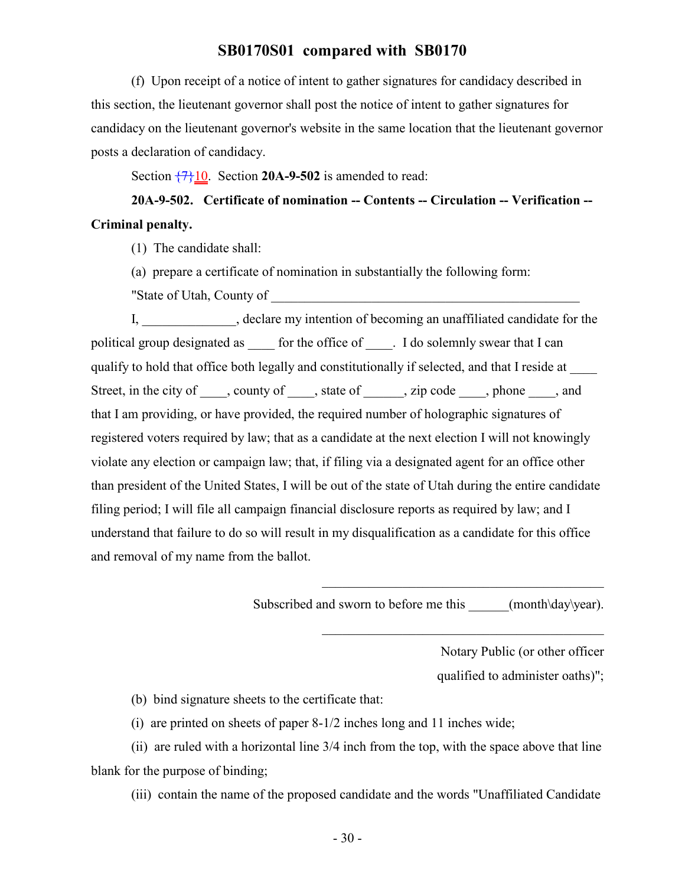(f) Upon receipt of a notice of intent to gather signatures for candidacy described in this section, the lieutenant governor shall post the notice of intent to gather signatures for candidacy on the lieutenant governor's website in the same location that the lieutenant governor posts a declaration of candidacy.

Section  $\frac{7}{10}$ . Section **20A-9-502** is amended to read:

# **20A-9-502. Certificate of nomination -- Contents -- Circulation -- Verification -- Criminal penalty.**

(1) The candidate shall:

(a) prepare a certificate of nomination in substantially the following form:

"State of Utah, County of

I, electare my intention of becoming an unaffiliated candidate for the political group designated as \_\_\_\_\_ for the office of \_\_\_\_. I do solemnly swear that I can qualify to hold that office both legally and constitutionally if selected, and that I reside at \_\_\_\_ Street, in the city of \_\_\_\_, county of \_\_\_\_, state of \_\_\_\_\_, zip code \_\_\_\_, phone \_\_\_\_, and that I am providing, or have provided, the required number of holographic signatures of registered voters required by law; that as a candidate at the next election I will not knowingly violate any election or campaign law; that, if filing via a designated agent for an office other than president of the United States, I will be out of the state of Utah during the entire candidate filing period; I will file all campaign financial disclosure reports as required by law; and I understand that failure to do so will result in my disqualification as a candidate for this office and removal of my name from the ballot.

Subscribed and sworn to before me this  $(month\day\year)$ .

 $\mathcal{L}_\mathcal{L}$  , where  $\mathcal{L}_\mathcal{L}$  , we have the set of the set of the set of the set of the set of the set of the set of the set of the set of the set of the set of the set of the set of the set of the set of the set

Notary Public (or other officer qualified to administer oaths)";

(b) bind signature sheets to the certificate that:

(i) are printed on sheets of paper 8-1/2 inches long and 11 inches wide;

(ii) are ruled with a horizontal line 3/4 inch from the top, with the space above that line blank for the purpose of binding;

(iii) contain the name of the proposed candidate and the words "Unaffiliated Candidate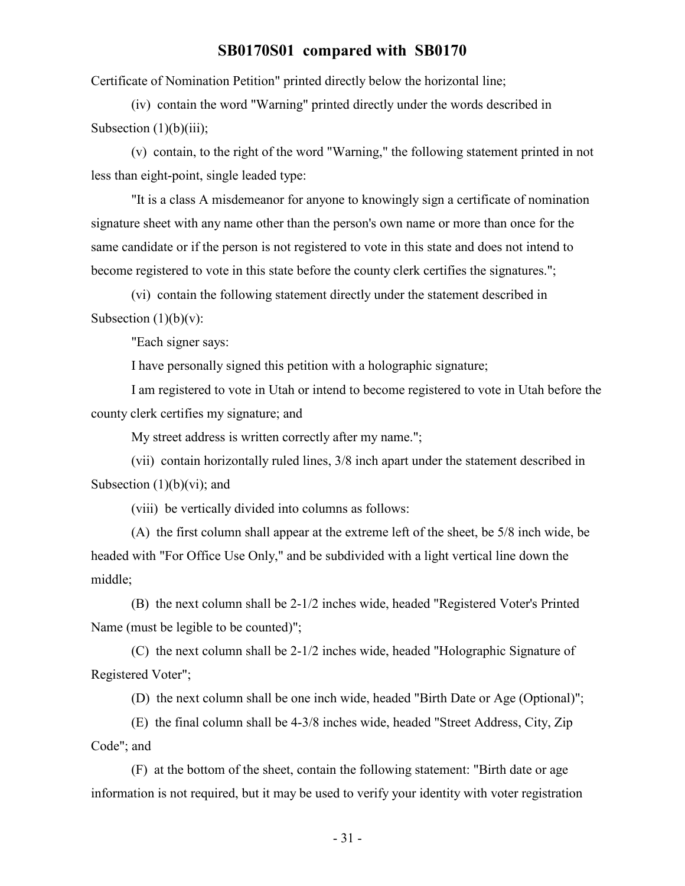Certificate of Nomination Petition" printed directly below the horizontal line;

(iv) contain the word "Warning" printed directly under the words described in Subsection  $(1)(b)(iii)$ ;

(v) contain, to the right of the word "Warning," the following statement printed in not less than eight-point, single leaded type:

"It is a class A misdemeanor for anyone to knowingly sign a certificate of nomination signature sheet with any name other than the person's own name or more than once for the same candidate or if the person is not registered to vote in this state and does not intend to become registered to vote in this state before the county clerk certifies the signatures.";

(vi) contain the following statement directly under the statement described in Subsection  $(1)(b)(v)$ :

"Each signer says:

I have personally signed this petition with a holographic signature;

I am registered to vote in Utah or intend to become registered to vote in Utah before the county clerk certifies my signature; and

My street address is written correctly after my name.";

(vii) contain horizontally ruled lines, 3/8 inch apart under the statement described in Subsection  $(1)(b)(vi)$ ; and

(viii) be vertically divided into columns as follows:

(A) the first column shall appear at the extreme left of the sheet, be 5/8 inch wide, be headed with "For Office Use Only," and be subdivided with a light vertical line down the middle;

(B) the next column shall be 2-1/2 inches wide, headed "Registered Voter's Printed Name (must be legible to be counted)";

(C) the next column shall be 2-1/2 inches wide, headed "Holographic Signature of Registered Voter";

(D) the next column shall be one inch wide, headed "Birth Date or Age (Optional)";

(E) the final column shall be 4-3/8 inches wide, headed "Street Address, City, Zip Code"; and

(F) at the bottom of the sheet, contain the following statement: "Birth date or age information is not required, but it may be used to verify your identity with voter registration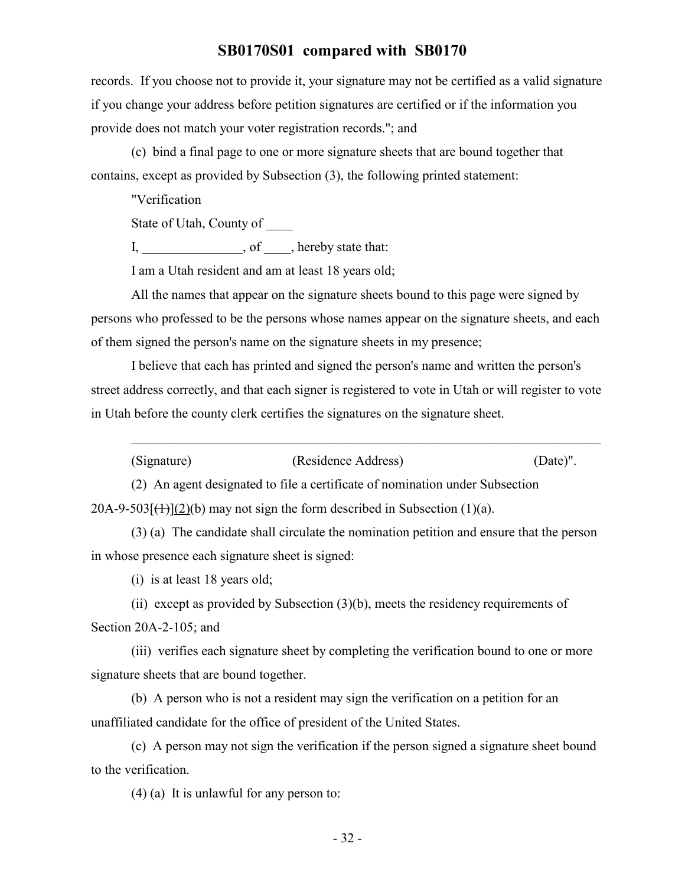records. If you choose not to provide it, your signature may not be certified as a valid signature if you change your address before petition signatures are certified or if the information you provide does not match your voter registration records."; and

(c) bind a final page to one or more signature sheets that are bound together that contains, except as provided by Subsection (3), the following printed statement:

"Verification

State of Utah, County of \_\_\_\_

I, efficiency of  $\alpha$ , hereby state that:

I am a Utah resident and am at least 18 years old;

All the names that appear on the signature sheets bound to this page were signed by persons who professed to be the persons whose names appear on the signature sheets, and each of them signed the person's name on the signature sheets in my presence;

I believe that each has printed and signed the person's name and written the person's street address correctly, and that each signer is registered to vote in Utah or will register to vote in Utah before the county clerk certifies the signatures on the signature sheet.

| (Signature) | (Residence Address) | $(Date)$ ". |
|-------------|---------------------|-------------|
|-------------|---------------------|-------------|

\_\_\_\_\_\_\_\_\_\_\_\_\_\_\_\_\_\_\_\_\_\_\_\_\_\_\_\_\_\_\_\_\_\_\_\_\_\_\_\_\_\_\_\_\_\_\_\_\_\_\_\_\_\_\_\_\_\_\_\_\_\_\_\_\_\_\_\_\_\_

(2) An agent designated to file a certificate of nomination under Subsection  $20A-9-503$ [ $(1)$ ](2)(b) may not sign the form described in Subsection (1)(a).

(3) (a) The candidate shall circulate the nomination petition and ensure that the person in whose presence each signature sheet is signed:

(i) is at least 18 years old;

(ii) except as provided by Subsection (3)(b), meets the residency requirements of Section 20A-2-105; and

(iii) verifies each signature sheet by completing the verification bound to one or more signature sheets that are bound together.

(b) A person who is not a resident may sign the verification on a petition for an unaffiliated candidate for the office of president of the United States.

(c) A person may not sign the verification if the person signed a signature sheet bound to the verification.

(4) (a) It is unlawful for any person to: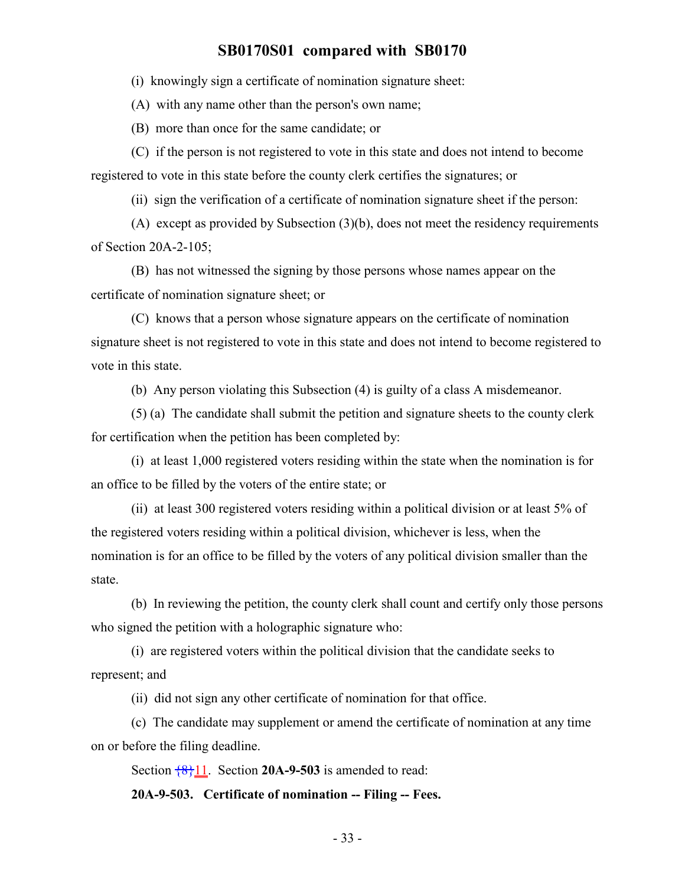(i) knowingly sign a certificate of nomination signature sheet:

(A) with any name other than the person's own name;

(B) more than once for the same candidate; or

(C) if the person is not registered to vote in this state and does not intend to become registered to vote in this state before the county clerk certifies the signatures; or

(ii) sign the verification of a certificate of nomination signature sheet if the person:

(A) except as provided by Subsection (3)(b), does not meet the residency requirements of Section 20A-2-105;

(B) has not witnessed the signing by those persons whose names appear on the certificate of nomination signature sheet; or

(C) knows that a person whose signature appears on the certificate of nomination signature sheet is not registered to vote in this state and does not intend to become registered to vote in this state.

(b) Any person violating this Subsection (4) is guilty of a class A misdemeanor.

(5) (a) The candidate shall submit the petition and signature sheets to the county clerk for certification when the petition has been completed by:

(i) at least 1,000 registered voters residing within the state when the nomination is for an office to be filled by the voters of the entire state; or

(ii) at least 300 registered voters residing within a political division or at least 5% of the registered voters residing within a political division, whichever is less, when the nomination is for an office to be filled by the voters of any political division smaller than the state.

(b) In reviewing the petition, the county clerk shall count and certify only those persons who signed the petition with a holographic signature who:

(i) are registered voters within the political division that the candidate seeks to represent; and

(ii) did not sign any other certificate of nomination for that office.

(c) The candidate may supplement or amend the certificate of nomination at any time on or before the filing deadline.

Section  $\frac{8}{11}$ . Section **20A-9-503** is amended to read:

**20A-9-503. Certificate of nomination -- Filing -- Fees.**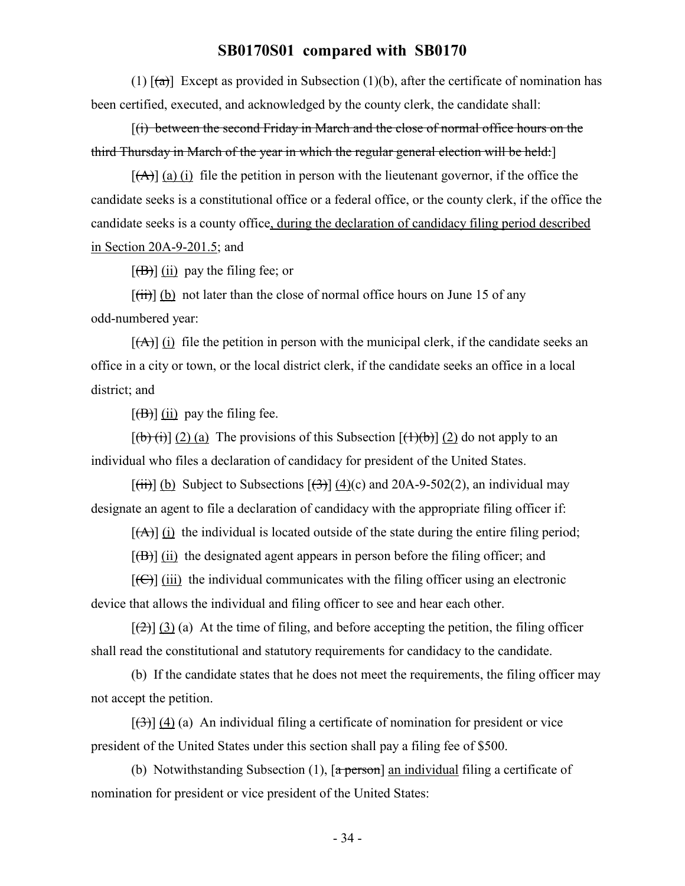(1)  $[(a)]$  Except as provided in Subsection (1)(b), after the certificate of nomination has been certified, executed, and acknowledged by the county clerk, the candidate shall:

[(i) between the second Friday in March and the close of normal office hours on the third Thursday in March of the year in which the regular general election will be held:]

 $[(A)]$  (a) (i) file the petition in person with the lieutenant governor, if the office the candidate seeks is a constitutional office or a federal office, or the county clerk, if the office the candidate seeks is a county office, during the declaration of candidacy filing period described in Section 20A-9-201.5; and

 $[\overline{(B)}]$  (ii) pay the filing fee; or

 $[\overrightarrow{tii}]$  (b) not later than the close of normal office hours on June 15 of any odd-numbered year:

 $[\overrightarrow{A}]$  (i) file the petition in person with the municipal clerk, if the candidate seeks an office in a city or town, or the local district clerk, if the candidate seeks an office in a local district; and

 $[\overline{(B)}]$  (ii) pay the filing fee.

 $[(b)(i)]$  (2) (a) The provisions of this Subsection  $[(1)(b)]$  (2) do not apply to an individual who files a declaration of candidacy for president of the United States.

 $[(iii)]$  (b) Subject to Subsections  $[\frac{(3)}{(4)}]$  (4)(c) and 20A-9-502(2), an individual may designate an agent to file a declaration of candidacy with the appropriate filing officer if:

 $[(A)]$  (i) the individual is located outside of the state during the entire filing period;

 $[\overline{(B)}]$  (ii) the designated agent appears in person before the filing officer; and

 $[\text{f}\bigoplus]$  (iii) the individual communicates with the filing officer using an electronic device that allows the individual and filing officer to see and hear each other.

 $[\frac{1}{2}]$  (3) (a) At the time of filing, and before accepting the petition, the filing officer shall read the constitutional and statutory requirements for candidacy to the candidate.

(b) If the candidate states that he does not meet the requirements, the filing officer may not accept the petition.

 $[\frac{1}{3}]$  (4) (a) An individual filing a certificate of nomination for president or vice president of the United States under this section shall pay a filing fee of \$500.

(b) Notwithstanding Subsection (1),  $\lceil a \frac{\pi}{6} \rceil$  an individual filing a certificate of nomination for president or vice president of the United States: